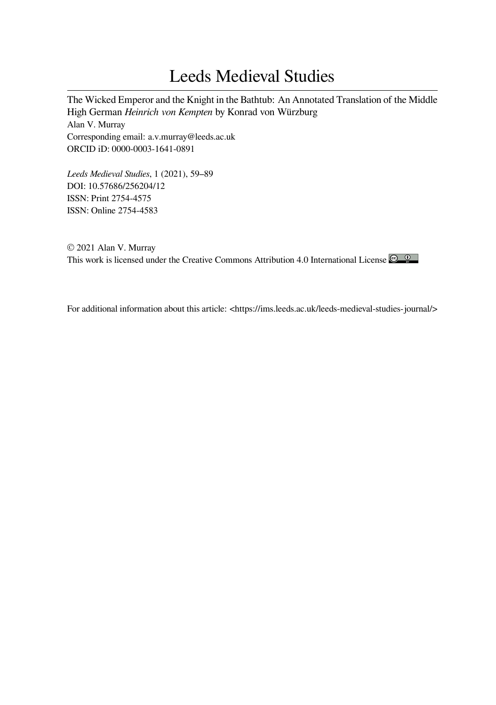# Leeds Medieval Studies

The Wicked Emperor and the Knight in the Bathtub: An Annotated Translation of the Middle High German *Heinrich von Kempten* by Konrad von Würzburg Alan V. Murray Corresponding email: a.v.murray@leeds.ac.uk ORCID iD: 0000-0003-1641-0891

*Leeds Medieval Studies*, 1 (2021), 59–89 DOI: 10.57686/256204/12 ISSN: Print 2754-4575 ISSN: Online 2754-4583

© 2021 Alan V. Murray This work is licensed under the Creative Commons Attribution 4.0 International License

For additional information about this article: <https://ims.leeds.ac.uk/leeds-medieval-studies-journal/>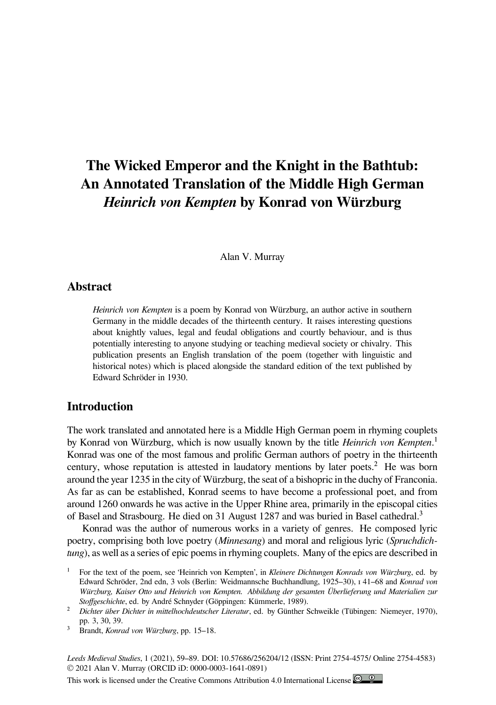# **The Wicked Emperor and the Knight in the Bathtub: An Annotated Translation of the Middle High German** *Heinrich von Kempten* **by Konrad von Würzburg**

Alan V. Murray

### **Abstract**

*Heinrich von Kempten* is a poem by Konrad von Würzburg, an author active in southern Germany in the middle decades of the thirteenth century. It raises interesting questions about knightly values, legal and feudal obligations and courtly behaviour, and is thus potentially interesting to anyone studying or teaching medieval society or chivalry. This publication presents an English translation of the poem (together with linguistic and historical notes) which is placed alongside the standard edition of the text published by Edward Schröder in 1930.

# **Introduction**

The work translated and annotated here is a Middle High German poem in rhyming couplets by Konrad von Würzburg, which is now usually known by the title *Heinrich von Kempten*.<sup>1</sup> Konrad was one of the most famous and prolific German authors of poetry in the thirteenth century, whose reputation is attested in laudatory mentions by later poets.<sup>2</sup> He was born around the year 1235 in the city of Würzburg, the seat of a bishopric in the duchy of Franconia. As far as can be established, Konrad seems to have become a professional poet, and from around 1260 onwards he was active in the Upper Rhine area, primarily in the episcopal cities of Basel and Strasbourg. He died on 31 August 1287 and was buried in Basel cathedral.<sup>3</sup>

Konrad was the author of numerous works in a variety of genres. He composed lyric poetry, comprising both love poetry (*Minnesang*) and moral and religious lyric (*Spruchdichtung*), as well as a series of epic poems in rhyming couplets. Many of the epics are described in

*Leeds Medieval Studies*, 1 (2021), 59–89. DOI: 10.57686/256204/12 (ISSN: Print 2754-4575/ Online 2754-4583) © 2021 Alan V. Murray (ORCID iD: 0000-0003-1641-0891)

This work is licensed under the Creative Commons Attribution 4.0 International License

For the text of the poem, see 'Heinrich von Kempten', in *Kleinere Dichtungen Konrads von Würzburg*, ed. by Edward Schröder, 2nd edn, 3 vols (Berlin: Weidmannsche Buchhandlung, 1925–30), I 41–68 and *Konrad von Würzburg, Kaiser Otto und Heinrich von Kempten. Abbildung der gesamten Überlieferung und Materialien zur Stoffgeschichte*, ed. by André Schnyder (Göppingen: Kümmerle, 1989).

² *Dichter über Dichter in mittelhochdeutscher Literatur*, ed. by Günther Schweikle (Tübingen: Niemeyer, 1970), pp. 3, 30, 39.

³ Brandt, *Konrad von Würzburg*, pp. 15–18.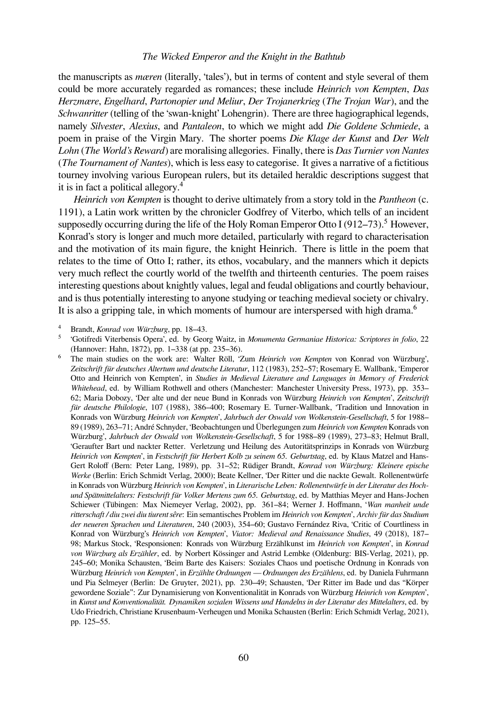the manuscripts as *mæren* (literally, 'tales'), but in terms of content and style several of them could be more accurately regarded as romances; these include *Heinrich von Kempten*, *Das Herzmære*, *Engelhard*, *Partonopier und Meliur*, *Der Trojanerkrieg* (*The Trojan War*), and the *Schwanritter* (telling of the 'swan-knight' Lohengrin). There are three hagiographical legends, namely *Silvester*, *Alexius*, and *Pantaleon*, to which we might add *Die Goldene Schmiede*, a poem in praise of the Virgin Mary. The shorter poems *Die Klage der Kunst* and *Der Welt Lohn* (*The World's Reward*) are moralising allegories. Finally, there is *Das Turnier von Nantes* (*The Tournament of Nantes*), which is less easy to categorise. It gives a narrative of a fictitious tourney involving various European rulers, but its detailed heraldic descriptions suggest that it is in fact a political allegory.<sup>4</sup>

*Heinrich von Kempten* is thought to derive ultimately from a story told in the *Pantheon* (c. 1191), a Latin work written by the chronicler Godfrey of Viterbo, which tells of an incident supposedly occurring during the life of the Holy Roman Emperor Otto I (912–73).<sup>5</sup> However, Konrad's story is longer and much more detailed, particularly with regard to characterisation and the motivation of its main figure, the knight Heinrich. There is little in the poem that relates to the time of Otto I; rather, its ethos, vocabulary, and the manners which it depicts very much reflect the courtly world of the twelfth and thirteenth centuries. The poem raises interesting questions about knightly values, legal and feudal obligations and courtly behaviour, and is thus potentially interesting to anyone studying or teaching medieval society or chivalry. It is also a gripping tale, in which moments of humour are interspersed with high drama. $\frac{6}{1}$ 

⁴ Brandt, *Konrad von Würzburg*, pp. 18–43.

⁵ 'Gotifredi Viterbensis Opera', ed. by Georg Waitz, in *Monumenta Germaniae Historica: Scriptores in folio*, 22 (Hannover: Hahn, 1872), pp. 1–338 (at pp. 235–36).

⁶ The main studies on the work are: Walter Röll, 'Zum *Heinrich von Kempten* von Konrad von Würzburg', *Zeitschrift für deutsches Altertum und deutsche Literatur*, 112 (1983), 252–57; Rosemary E. Wallbank, 'Emperor Otto and Heinrich von Kempten', in *Studies in Medieval Literature and Languages in Memory of Frederick Whitehead*, ed. by William Rothwell and others (Manchester: Manchester University Press, 1973), pp. 353– 62; Maria Dobozy, 'Der alte und der neue Bund in Konrads von Würzburg *Heinrich von Kempten*', *Zeitschrift für deutsche Philologie*, 107 (1988), 386–400; Rosemary E. Turner-Wallbank, 'Tradition und Innovation in Konrads von Würzburg *Heinrich von Kempten*', *Jahrbuch der Oswald von Wolkenstein-Gesellschaft*, 5 for 1988– 89 (1989), 263–71; André Schnyder, 'Beobachtungen und Überlegungen zum *Heinrich von Kempten* Konrads von Würzburg', *Jahrbuch der Oswald von Wolkenstein-Gesellschaft*, 5 for 1988–89 (1989), 273–83; Helmut Brall, 'Geraufter Bart und nackter Retter. Verletzung und Heilung des Autoritätsprinzips in Konrads von Würzburg *Heinrich von Kempten*', in *Festschrift für Herbert Kolb zu seinem 65. Geburtstag*, ed. by Klaus Matzel and Hans-Gert Roloff (Bern: Peter Lang, 1989), pp. 31–52; Rüdiger Brandt, *Konrad von Würzburg: Kleinere epische Werke* (Berlin: Erich Schmidt Verlag, 2000); Beate Kellner, 'Der Ritter und die nackte Gewalt. Rollenentwürfe in Konrads von Würzburg *Heinrich von Kempten*', in *Literarische Leben: Rollenentwürfe in der Literatur des Hochund Spätmittelalters: Festschrift für Volker Mertens zum 65. Geburtstag*, ed. by Matthias Meyer and Hans-Jochen Schiewer (Tübingen: Max Niemeyer Verlag, 2002), pp. 361–84; Werner J. Hoffmann, '*Wan manheit unde ritterschaft / diu zwei diu tiurent sêre*: Ein semantisches Problem im *Heinrich von Kempten*', *Archiv für das Studium der neueren Sprachen und Literaturen*, 240 (2003), 354–60; Gustavo Fernández Riva, 'Critic of Courtliness in Konrad von Würzburg's *Heinrich von Kempten*', *Viator: Medieval and Renaissance Studies*, 49 (2018), 187– 98; Markus Stock, 'Responsionen: Konrads von Würzburg Erzählkunst im *Heinrich von Kempten*', in *Konrad von Würzburg als Erzähler*, ed. by Norbert Kössinger and Astrid Lembke (Oldenburg: BIS-Verlag, 2021), pp. 245–60; Monika Schausten, 'Beim Barte des Kaisers: Soziales Chaos und poetische Ordnung in Konrads von Würzburg *Heinrich von Kempten*', in *Erzählte Ordnungen — Ordnungen des Erzählens*, ed. by Daniela Fuhrmann und Pia Selmeyer (Berlin: De Gruyter, 2021), pp. 230–49; Schausten, 'Der Ritter im Bade und das "Körper gewordene Soziale": Zur Dynamisierung von Konventionalität in Konrads von Würzburg *Heinrich von Kempten*', in *Kunst und Konventionalität. Dynamiken sozialen Wissens und Handelns in der Literatur des Mittelalters*, ed. by Udo Friedrich, Christiane Krusenbaum-Verheugen und Monika Schausten (Berlin: Erich Schmidt Verlag, 2021), pp. 125–55.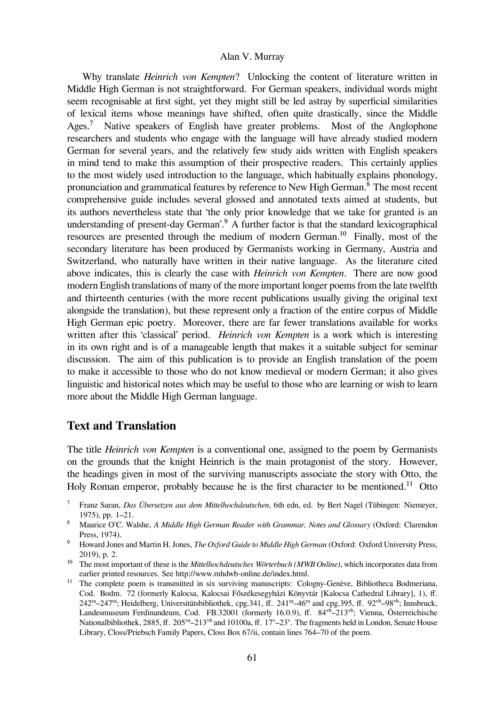Why translate *Heinrich von Kempten*? Unlocking the content of literature written in Middle High German is not straightforward. For German speakers, individual words might seem recognisable at first sight, yet they might still be led astray by superficial similarities of lexical items whose meanings have shifted, often quite drastically, since the Middle Ages.<sup>7</sup> Native speakers of English have greater problems. Most of the Anglophone researchers and students who engage with the language will have already studied modern German for several years, and the relatively few study aids written with English speakers in mind tend to make this assumption of their prospective readers. This certainly applies to the most widely used introduction to the language, which habitually explains phonology, pronunciation and grammatical features by reference to New High German.⁸ The most recent comprehensive guide includes several glossed and annotated texts aimed at students, but its authors nevertheless state that 'the only prior knowledge that we take for granted is an understanding of present-day German'. $\frac{9}{5}$  A further factor is that the standard lexicographical resources are presented through the medium of modern German.<sup>10</sup> Finally, most of the secondary literature has been produced by Germanists working in Germany, Austria and Switzerland, who naturally have written in their native language. As the literature cited above indicates, this is clearly the case with *Heinrich von Kempten*. There are now good modern English translations of many of the more important longer poems from the late twelfth and thirteenth centuries (with the more recent publications usually giving the original text alongside the translation), but these represent only a fraction of the entire corpus of Middle High German epic poetry. Moreover, there are far fewer translations available for works written after this 'classical' period. *Heinrich von Kempten* is a work which is interesting in its own right and is of a manageable length that makes it a suitable subject for seminar discussion. The aim of this publication is to provide an English translation of the poem to make it accessible to those who do not know medieval or modern German; it also gives linguistic and historical notes which may be useful to those who are learning or wish to learn more about the Middle High German language.

# **Text and Translation**

The title *Heinrich von Kempten* is a conventional one, assigned to the poem by Germanists on the grounds that the knight Heinrich is the main protagonist of the story. However, the headings given in most of the surviving manuscripts associate the story with Otto, the Holy Roman emperor, probably because he is the first character to be mentioned.<sup>11</sup> Otto

<sup>9</sup> Howard Jones and Martin H. Jones, *The Oxford Guide to Middle High German* (Oxford: Oxford University Press, 2019), p. 2.

⁷ Franz Saran, *Das Übersetzen aus dem Mittelhochdeutschen*, 6th edn, ed. by Bert Nagel (Tübingen: Niemeyer, 1975), pp. 1–21.

⁸ Maurice O'C. Walshe, *A Middle High German Reader with Grammar, Notes and Glossary* (Oxford: Clarendon Press, 1974).

<sup>&</sup>lt;sup>10</sup> The most important of these is the *Mittelhochdeutsches Wörterbuch (MWB Online)*, which incorporates data from earlier printed resources. See http://www.mhdwb-online.de/index.html.

<sup>&</sup>lt;sup>11</sup> The complete poem is transmitted in six surviving manuscripts: Cologny-Genève, Bibliotheca Bodmeriana, Cod. Bodm. 72 (formerly Kalocsa, Kalocsai Főszékesegyházi Könyvtár [Kalocsa Cathedral Library], 1), ff.  $242^{\text{ra}}-247^{\text{ra}}$ ; Heidelberg, Universitätsbibliothek, cpg.341, ff.  $241^{\text{ra}}-46^{\text{ra}}$  and cpg.395, ff.  $92^{\text{vb}}-98^{\text{vb}}$ ; Innsbruck, Landesmuseum Ferdinandeum, Cod. FB.32001 (formerly 16.0.9), ff.  $84\sqrt{2}$ –213<sup>vb</sup>; Vienna, Österreichische Nationalbibliothek, 2885, ff.  $205^{va}-213^{vb}$  and 10100a, ff.  $17^{v}-23^{v}$ . The fragments held in London, Senate House Library, Closs/Priebsch Family Papers, Closs Box 67/ii, contain lines 764–70 of the poem.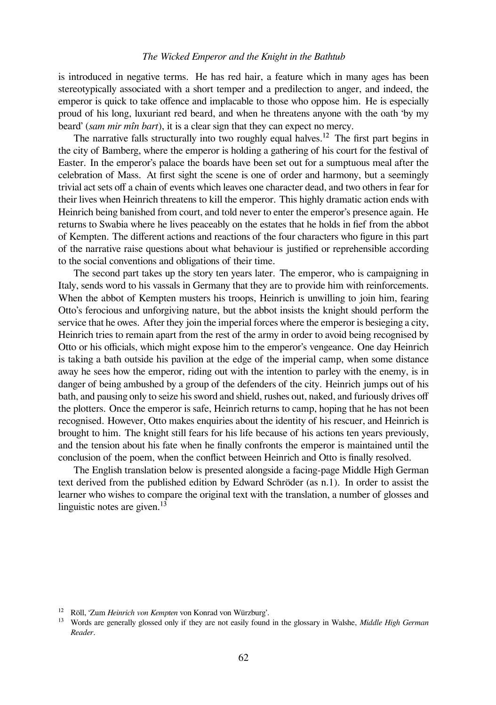is introduced in negative terms. He has red hair, a feature which in many ages has been stereotypically associated with a short temper and a predilection to anger, and indeed, the emperor is quick to take offence and implacable to those who oppose him. He is especially proud of his long, luxuriant red beard, and when he threatens anyone with the oath 'by my beard' (*sam mir mîn bart*), it is a clear sign that they can expect no mercy.

The narrative falls structurally into two roughly equal halves.<sup>12</sup> The first part begins in the city of Bamberg, where the emperor is holding a gathering of his court for the festival of Easter. In the emperor's palace the boards have been set out for a sumptuous meal after the celebration of Mass. At first sight the scene is one of order and harmony, but a seemingly trivial act sets off a chain of events which leaves one character dead, and two others in fear for their lives when Heinrich threatens to kill the emperor. This highly dramatic action ends with Heinrich being banished from court, and told never to enter the emperor's presence again. He returns to Swabia where he lives peaceably on the estates that he holds in fief from the abbot of Kempten. The different actions and reactions of the four characters who figure in this part of the narrative raise questions about what behaviour is justified or reprehensible according to the social conventions and obligations of their time.

The second part takes up the story ten years later. The emperor, who is campaigning in Italy, sends word to his vassals in Germany that they are to provide him with reinforcements. When the abbot of Kempten musters his troops, Heinrich is unwilling to join him, fearing Otto's ferocious and unforgiving nature, but the abbot insists the knight should perform the service that he owes. After they join the imperial forces where the emperor is besieging a city, Heinrich tries to remain apart from the rest of the army in order to avoid being recognised by Otto or his officials, which might expose him to the emperor's vengeance. One day Heinrich is taking a bath outside his pavilion at the edge of the imperial camp, when some distance away he sees how the emperor, riding out with the intention to parley with the enemy, is in danger of being ambushed by a group of the defenders of the city. Heinrich jumps out of his bath, and pausing only to seize his sword and shield, rushes out, naked, and furiously drives off the plotters. Once the emperor is safe, Heinrich returns to camp, hoping that he has not been recognised. However, Otto makes enquiries about the identity of his rescuer, and Heinrich is brought to him. The knight still fears for his life because of his actions ten years previously, and the tension about his fate when he finally confronts the emperor is maintained until the conclusion of the poem, when the conflict between Heinrich and Otto is finally resolved.

The English translation below is presented alongside a facing-page Middle High German text derived from the published edition by Edward Schröder (as n.1). In order to assist the learner who wishes to compare the original text with the translation, a number of glosses and linguistic notes are given. $^{13}$ 

<sup>&</sup>lt;sup>12</sup> Röll, 'Zum *Heinrich von Kempten* von Konrad von Würzburg'.

<sup>&</sup>lt;sup>13</sup> Words are generally glossed only if they are not easily found in the glossary in Walshe, *Middle High German Reader*.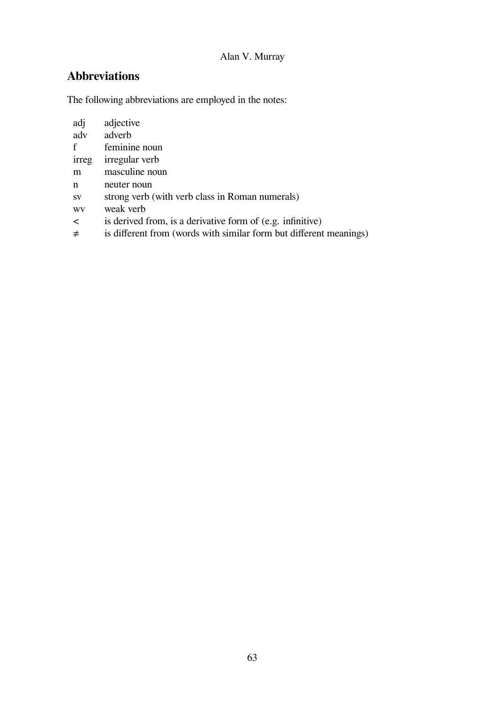# **Abbreviations**

The following abbreviations are employed in the notes:

| adj          | adjective                                                  |  |
|--------------|------------------------------------------------------------|--|
| adv          | adverb                                                     |  |
| $\mathbf{f}$ | feminine noun                                              |  |
| irreg        | irregular verb                                             |  |
| m            | masculine noun                                             |  |
| n            | neuter noun                                                |  |
| <b>SV</b>    | strong verb (with verb class in Roman numerals)            |  |
| WV           | weak verb                                                  |  |
| $\lt$        | is derived from, is a derivative form of (e.g. infinitive) |  |
|              |                                                            |  |

≠ is different from (words with similar form but different meanings)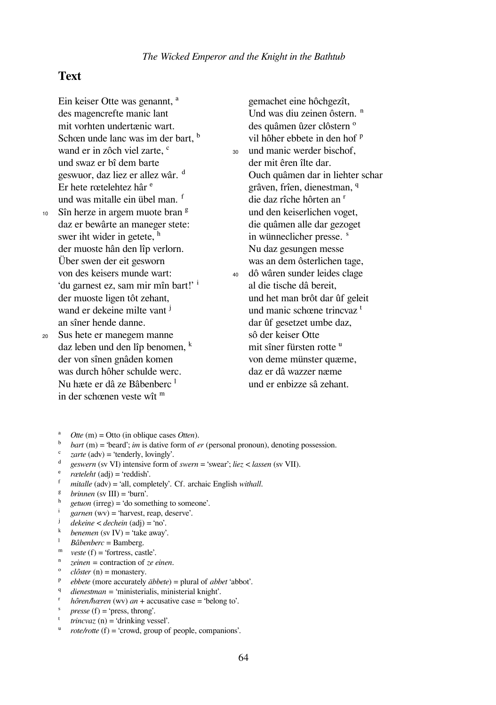### **Text**

Ein keiser Otte was genannt, <sup>a</sup> des magencrefte manic lant mit vorhten undertænic wart. Schœn unde lanc was im der bart.<sup>b</sup> wand er in zôch viel zarte,  $c$ und swaz er bî dem barte geswuor, daz liez er allez wâr. <sup>d</sup> Er hete rœtelehtez hâr <sup>e</sup> und was mitalle ein übel man. f 10 Sîn herze in argem muote bran  $\frac{8}{3}$ 

- daz er bewârte an maneger stete: swer iht wider in getete,  $<sup>h</sup>$ </sup> der muoste hân den lîp verlorn. Über swen der eit gesworn von des keisers munde wart: 'du garnest ez, sam mir mîn bart!' <sup>i</sup> der muoste ligen tôt zehant, wand er dekeine milte vant <sup>j</sup> an sîner hende danne. <sup>20</sup> Sus hete er manegem manne
	- daz leben und den lîp benomen,  $<sup>k</sup>$ </sup> der von sînen gnâden komen was durch hôher schulde werc. Nu hæte er dâ ze Bâbenberc<sup>1</sup> in der schœnen veste wît <sup>m</sup>

gemachet eine hôchgezît, Und was diu zeinen ôstern. <sup>n</sup> des quâmen ûzer clôstern <sup>o</sup> vil hôher ebbete in den hof <sup>p</sup> <sup>30</sup> und manic werder bischof, der mit êren îlte dar. Ouch quâmen dar in liehter schar grâven, frîen, dienestman, q die daz rîche hôrten an <sup>r</sup> und den keiserlichen voget, die quâmen alle dar gezoget in wünneclicher presse. <sup>s</sup> Nu daz gesungen messe was an dem ôsterlichen tage, <sup>40</sup> dô wâren sunder leides clage

- al die tische dâ bereit, und het man brôt dar ûf geleit und manic schœne trincvaz<sup>t</sup> dar ûf gesetzet umbe daz, sô der keiser Otte mit sîner fürsten rotte <sup>u</sup> von deme münster quæme, daz er dâ wazzer næme und er enbizze sâ zehant.
- $^{a}$  *Otte* (m) = Otto (in oblique cases *Otten*).
- ᵇ *bart* (m) = 'beard'; *im* is dative form of *er* (personal pronoun), denoting possession.
- $\frac{c}{d}$  *zarte* (adv) = 'tenderly, lovingly'.
- ᵈ *geswern* (sv VI) intensive form of *swern* = 'swear'; *liez < lassen* (sv VII).
- ᵉ *rœteleht* (adj) = 'reddish'.
- ᶠ *mitalle* (adv) = 'all, completely'. Cf. archaic English *withall*.
- ᵍ *brinnen* (sv III) = 'burn'.
- $\frac{h}{i}$  *getuon* (irreg) = 'do something to someone'.
- ⁱ *garnen* (wv) = 'harvest, reap, deserve'.
- ʲ *dekeine < dechein* (adj) = 'no'.
- $^{\rm k}$  *benemen* (sv IV) = 'take away'.
- ˡ *Bâbenberc* = Bamberg.
- ${}^{\text{m}}$  *veste* (f) = 'fortress, castle'.
- ⁿ *zeinen =* contraction of *ze einen*.
- $\textdegree$  *clôster* (n) = monastery.
- ᵖ *ebbete* (more accurately *äbbete*) = plural of *abbet* 'abbot'.
- q *dienestman =* 'ministerialis, ministerial knight'.
- *hôren/hœren* (wv) *an* + accusative case = 'belong to'.
- $\frac{s}{t}$  *presse* (f) = 'press, throng'.
- $trinc$ *vaz* (n) = 'drinking vessel'.
- ᵘ *rote/rotte* (f) = 'crowd, group of people, companions'.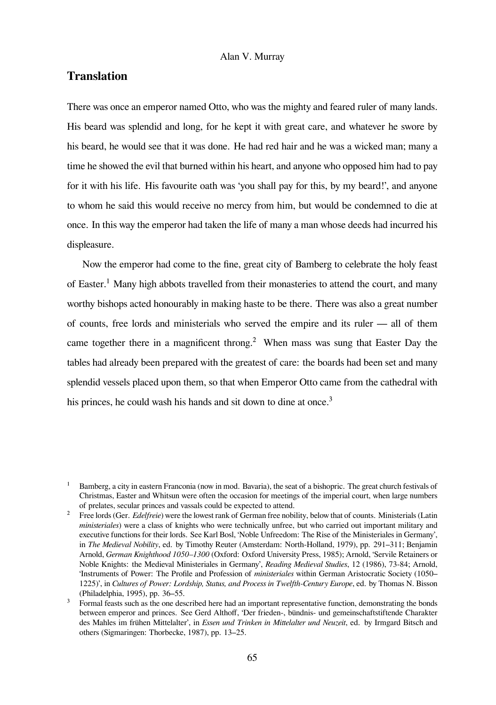## **Translation**

There was once an emperor named Otto, who was the mighty and feared ruler of many lands. His beard was splendid and long, for he kept it with great care, and whatever he swore by his beard, he would see that it was done. He had red hair and he was a wicked man; many a time he showed the evil that burned within his heart, and anyone who opposed him had to pay for it with his life. His favourite oath was 'you shall pay for this, by my beard!', and anyone to whom he said this would receive no mercy from him, but would be condemned to die at once. In this way the emperor had taken the life of many a man whose deeds had incurred his displeasure.

Now the emperor had come to the fine, great city of Bamberg to celebrate the holy feast of Easter.<sup>1</sup> Many high abbots travelled from their monasteries to attend the court, and many worthy bishops acted honourably in making haste to be there. There was also a great number of counts, free lords and ministerials who served the empire and its ruler — all of them came together there in a magnificent throng.<sup>2</sup> When mass was sung that Easter Day the tables had already been prepared with the greatest of care: the boards had been set and many splendid vessels placed upon them, so that when Emperor Otto came from the cathedral with his princes, he could wash his hands and sit down to dine at once.<sup>3</sup>

<sup>&</sup>lt;sup>1</sup> Bamberg, a city in eastern Franconia (now in mod. Bavaria), the seat of a bishopric. The great church festivals of Christmas, Easter and Whitsun were often the occasion for meetings of the imperial court, when large numbers of prelates, secular princes and vassals could be expected to attend.

² Free lords (Ger. *Edelfreie*) were the lowest rank of German free nobility, below that of counts. Ministerials (Latin *ministeriales*) were a class of knights who were technically unfree, but who carried out important military and executive functions for their lords. See Karl Bosl, 'Noble Unfreedom: The Rise of the Ministeriales in Germany', in *The Medieval Nobility*, ed. by Timothy Reuter (Amsterdam: North-Holland, 1979), pp. 291–311; Benjamin Arnold, *German Knighthood 1050–1300* (Oxford: Oxford University Press, 1985); Arnold, 'Servile Retainers or Noble Knights: the Medieval Ministeriales in Germany', *Reading Medieval Studies*, 12 (1986), 73-84; Arnold, 'Instruments of Power: The Profile and Profession of *ministeriales* within German Aristocratic Society (1050– 1225)', in *Cultures of Power: Lordship, Status, and Process in Twelfth-Century Europe*, ed. by Thomas N. Bisson (Philadelphia, 1995), pp. 36–55.

³ Formal feasts such as the one described here had an important representative function, demonstrating the bonds between emperor and princes. See Gerd Althoff, 'Der frieden-, bündnis- und gemeinschaftstiftende Charakter des Mahles im frühen Mittelalter', in *Essen und Trinken in Mittelalter und Neuzeit*, ed. by Irmgard Bitsch and others (Sigmaringen: Thorbecke, 1987), pp. 13–25.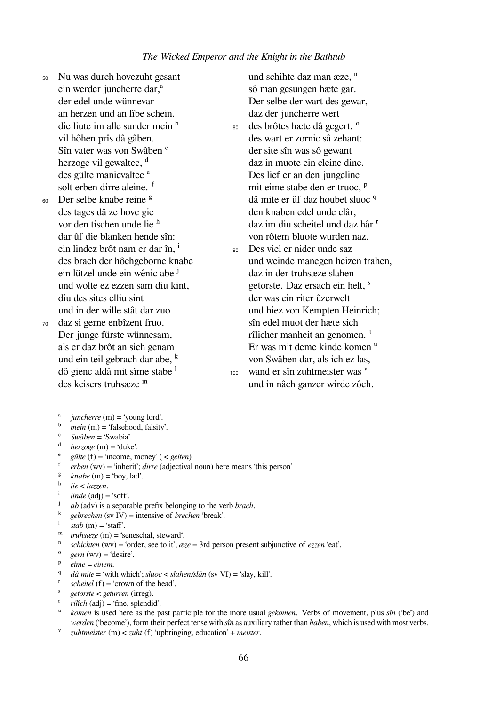- <sup>50</sup> Nu was durch hovezuht gesant ein werder juncherre dar,<sup>a</sup> der edel unde wünnevar an herzen und an lîbe schein. die liute im alle sunder mein  $<sup>b</sup>$ </sup> vil hôhen prîs dâ gâben. Sîn vater was von Swâben <sup>c</sup> herzoge vil gewaltec,  $d$ des gülte manicvaltec <sup>e</sup> solt erben dirre aleine. f
- $60$  Der selbe knabe reine  $\frac{g}{g}$ des tages dâ ze hove gie vor den tischen unde lie <sup>h</sup> dar ûf die blanken hende sîn: ein lindez brôt nam er dar în, i des brach der hôchgeborne knabe ein lützel unde ein wênic abe <sup>j</sup> und wolte ez ezzen sam diu kint, diu des sites elliu sint und in der wille stât dar zuo
- <sup>70</sup> daz si gerne enbîzent fruo. Der junge fürste wünnesam, als er daz brôt an sich genam und ein teil gebrach dar abe,  $<sup>k</sup>$ </sup> dô gienc aldâ mit sîme stabe ˡ des keisers truhsæze m

und schihte daz man æze, <sup>n</sup> sô man gesungen hæte gar. Der selbe der wart des gewar, daz der juncherre wert

- 80 des brôtes hæte dâ gegert. <sup>o</sup> des wart er zornic sâ zehant: der site sîn was sô gewant daz in muote ein cleine dinc. Des lief er an den jungelinc mit eime stabe den er truoc, <sup>p</sup> dâ mite er ûf daz houbet sluoc q den knaben edel unde clâr, daz im diu scheitel und daz hâr <sup>r</sup> von rôtem bluote wurden naz.
- <sup>90</sup> Des viel er nider unde saz und weinde manegen heizen trahen, daz in der truhsæze slahen getorste. Daz ersach ein helt, <sup>s</sup> der was ein riter ûzerwelt und hiez von Kempten Heinrich; sîn edel muot der hæte sich rîlicher manheit an genomen.<sup>t</sup> Er was mit deme kinde komen <sup>u</sup> von Swâben dar, als ich ez las,  $_{100}$  wand er sîn zuhtmeister was  $<sup>V</sup>$ </sup> und in nâch ganzer wirde zôch.

 $\frac{a}{b}$  *juncherre* (m) = 'young lord'.

- mein (m) = 'falsehood, falsity'.
- ᶜ *Swâben* = 'Swabia'.
- $herzoee$  (m) = 'duke'.
- $\text{e}^{\text{e}}$  *gülte* (f) = 'income, money' ( < *gelten*)
- ᶠ *erben* (wv) = 'inherit'; *dirre* (adjectival noun) here means 'this person'
- $knabe$  (m) = 'boy, lad'.
- $\frac{h}{i}$  *lie* < *lazzen*.
- $\frac{1}{\text{i}}$  *linde* (adj) = 'soft'.
- ʲ *ab* (adv) is a separable prefix belonging to the verb *brach*.
- $^k$  *gebrechen* (sv IV) = intensive of *brechen* 'break'.
- $stab(m) = 'star'$ .
- ᵐ *truhsæze* (m) = 'seneschal, steward'.
- ⁿ *schichten* (wv) = 'order, see to it'; *æze* = 3rd person present subjunctive of *ezzen* 'eat'.
- $gern (wv) = 'desire'.$
- $P$  *eime* = *einem.*
- q *dâ mite* = 'with which'; *sluoc < slahen/slân* (sv VI) = 'slay, kill'.
- *scheitel* (f) = 'crown of the head'.
- ˢ *getorste < geturren* (irreg).
- $rilîch$  (adj) = 'fine, splendid'.
- ᵘ *komen* is used here as the past participle for the more usual *gekomen*. Verbs of movement, plus *sîn* ('be') and *werden* ('become'), form their perfect tense with *sîn* as auxiliary rather than *haben*, which is used with most verbs.
- ᵛ *zuhtmeister* (m) < *zuht* (f) 'upbringing, education' + *meister*.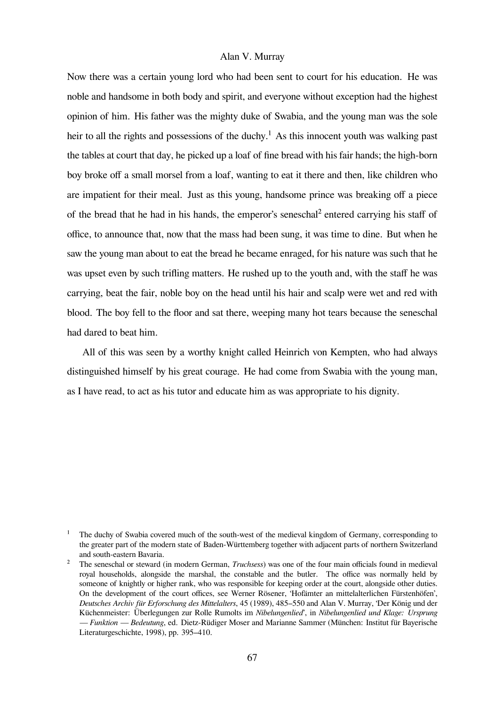Now there was a certain young lord who had been sent to court for his education. He was noble and handsome in both body and spirit, and everyone without exception had the highest opinion of him. His father was the mighty duke of Swabia, and the young man was the sole heir to all the rights and possessions of the duchy.<sup>1</sup> As this innocent youth was walking past the tables at court that day, he picked up a loaf of fine bread with his fair hands; the high-born boy broke off a small morsel from a loaf, wanting to eat it there and then, like children who are impatient for their meal. Just as this young, handsome prince was breaking off a piece of the bread that he had in his hands, the emperor's seneschal² entered carrying his staff of office, to announce that, now that the mass had been sung, it was time to dine. But when he saw the young man about to eat the bread he became enraged, for his nature was such that he was upset even by such trifling matters. He rushed up to the youth and, with the staff he was carrying, beat the fair, noble boy on the head until his hair and scalp were wet and red with blood. The boy fell to the floor and sat there, weeping many hot tears because the seneschal had dared to beat him.

All of this was seen by a worthy knight called Heinrich von Kempten, who had always distinguished himself by his great courage. He had come from Swabia with the young man, as I have read, to act as his tutor and educate him as was appropriate to his dignity.

The duchy of Swabia covered much of the south-west of the medieval kingdom of Germany, corresponding to the greater part of the modern state of Baden-Württemberg together with adjacent parts of northern Switzerland and south-eastern Bavaria.

<sup>&</sup>lt;sup>2</sup> The seneschal or steward (in modern German, *Truchsess*) was one of the four main officials found in medieval royal households, alongside the marshal, the constable and the butler. The office was normally held by someone of knightly or higher rank, who was responsible for keeping order at the court, alongside other duties. On the development of the court offices, see Werner Rösener, 'Hofämter an mittelalterlichen Fürstenhöfen', *Deutsches Archiv für Erforschung des Mittelalters*, 45 (1989), 485–550 and Alan V. Murray, 'Der König und der Küchenmeister: Überlegungen zur Rolle Rumolts im *Nibelungenlied*', in *Nibelungenlied und Klage: Ursprung — Funktion — Bedeutung*, ed. Dietz-Rüdiger Moser and Marianne Sammer (München: Institut für Bayerische Literaturgeschichte, 1998), pp. 395–410.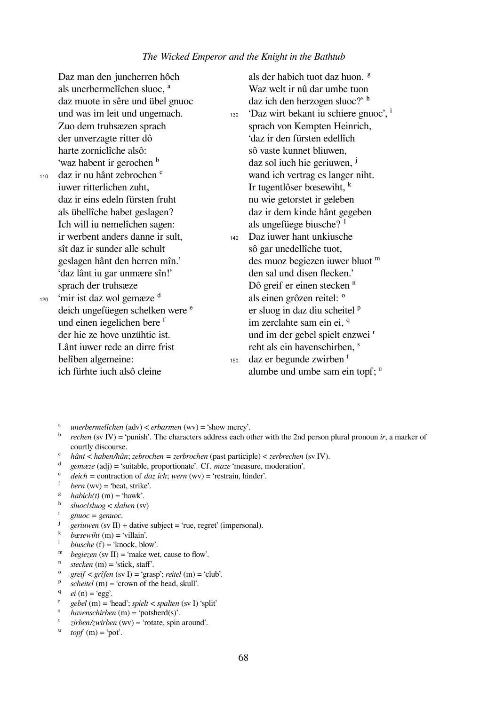Daz man den juncherren hôch als unerbermelîchen sluoc, <sup>a</sup> daz muote in sêre und übel gnuoc und was im leit und ungemach. Zuo dem truhsæzen sprach der unverzagte ritter dô harte zorniclîche alsô: 'waz habent ir gerochen <sup>b</sup> 110 daz ir nu hânt zebrochen <sup>c</sup> iuwer ritterlichen zuht, daz ir eins edeln fürsten fruht als übellîche habet geslagen? Ich will iu nemelîchen sagen: ir werbent anders danne ir sult, sît daz ir sunder alle schult geslagen hânt den herren mîn.' 'daz lânt iu gar unmære sîn!' sprach der truhsæze 120 'mir ist daz wol gemæze  $\frac{d}{ }$ deich ungefüegen schelken were <sup>e</sup> und einen iegelichen bere f der hie ze hove unzühtic ist. Lânt iuwer rede an dirre frist belîben algemeine: ich fürhte iuch alsô cleine als der habich tuot daz huon. <sup>g</sup> Waz welt ir nû dar umbe tuon daz ich den herzogen sluoc?' h  $130$  'Daz wirt bekant iu schiere gnuoc',  $\frac{1}{1}$ sprach von Kempten Heinrich, 'daz ir den fürsten edellîch sô vaste kunnet bliuwen, daz sol iuch hie geriuwen, <sup>j</sup> wand ich vertrag es langer niht. Ir tugentlôser bœsewiht,  $k$ nu wie getorstet ir geleben daz ir dem kinde hânt gegeben als ungefüege biusche?  $^1$ <sup>140</sup> Daz iuwer hant unkiusche sô gar unedellîche tuot, des muoz begiezen iuwer bluot m den sal und disen flecken.' Dô greif er einen stecken <sup>n</sup> als einen grôzen reitel: <sup>o</sup> er sluog in daz diu scheitel <sup>p</sup> im zerclahte sam ein ei. q und im der gebel spielt enzwei <sup>r</sup> reht als ein havenschirben, <sup>s</sup>  $_{150}$  daz er begunde zwirben<sup>t</sup> alumbe und umbe sam ein topf;  $\mathbf{u}$ 

- ᵃ *unerbermelîchen* (adv) < *erbarmen* (wv) = 'show mercy'.
- ᵇ *rechen* (sv IV) = 'punish'. The characters address each other with the 2nd person plural pronoun *ir*, a marker of courtly discourse.
- $\hat{a}$  *hânt* < *haben/hân*; *zebrochen* = *zerbrochen* (past participle) < *zerbrechen* (sv IV).
- ᵈ *gemæze* (adj) = 'suitable, proportionate'. Cf. *maze* 'measure, moderation'.
- $\frac{e}{\hbar}$  *deich* = contraction of *daz ich*; *wern* (wv) = 'restrain, hinder'.
- $bern (wv) = 'beat, strike'.$
- $<sup>g</sup>$  *habich(t)* (m) = 'hawk'.</sup>
- ʰ *sluoc*/*sluog* < *slahen* (sv)
- ⁱ *gnuoc = genuoc*.
- $geriuwen$  (sv II) + dative subject = 'rue, regret' (impersonal).
- $\frac{k}{1}$  *bœsewiht* (m) = 'villain'.
- $biusche(f) = 'knock, blow'.$
- $^{\text{m}}$  *begiezen* (sv II) = 'make wet, cause to flow'.
- $<sub>stecken</sub>$  (m) = 'stick, staff'.</sub>
- ᵒ *greif < grîfen* (sv I) = 'grasp'; *reitel* (m) = 'club'.
- ᵖ *scheitel* (m) = 'crown of the head, skull'.
- $e^{i}$  *ei* (n) = 'egg'.
- ʳ *gebel* (m) = 'head'; *spielt* < *spalten* (sv I) 'split'
- ˢ *havenschirben* (m) = 'potsherd(s)'.
- ᵗ *zirben/zwirben* (wv) = 'rotate, spin around'.
- $\text{topf}(m) = \text{`pot'}.$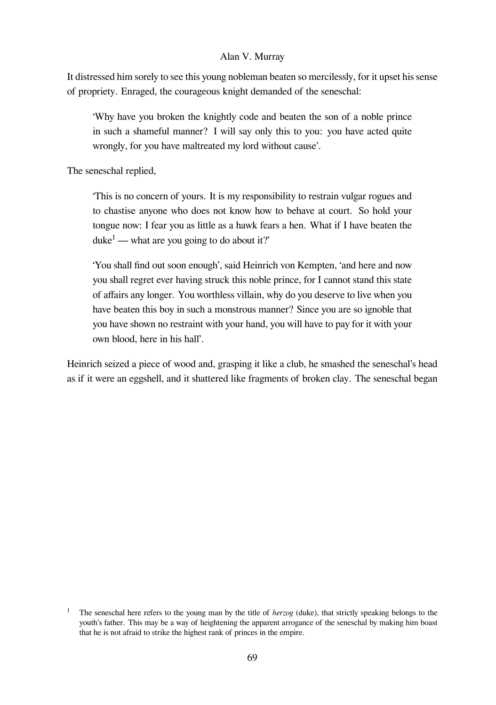It distressed him sorely to see this young nobleman beaten so mercilessly, for it upset his sense of propriety. Enraged, the courageous knight demanded of the seneschal:

'Why have you broken the knightly code and beaten the son of a noble prince in such a shameful manner? I will say only this to you: you have acted quite wrongly, for you have maltreated my lord without cause'.

The seneschal replied,

'This is no concern of yours. It is my responsibility to restrain vulgar rogues and to chastise anyone who does not know how to behave at court. So hold your tongue now: I fear you as little as a hawk fears a hen. What if I have beaten the  $duke<sup>1</sup>$  — what are you going to do about it?'

'You shall find out soon enough', said Heinrich von Kempten, 'and here and now you shall regret ever having struck this noble prince, for I cannot stand this state of affairs any longer. You worthless villain, why do you deserve to live when you have beaten this boy in such a monstrous manner? Since you are so ignoble that you have shown no restraint with your hand, you will have to pay for it with your own blood, here in his hall'.

Heinrich seized a piece of wood and, grasping it like a club, he smashed the seneschal's head as if it were an eggshell, and it shattered like fragments of broken clay. The seneschal began

The seneschal here refers to the young man by the title of *herzog* (duke), that strictly speaking belongs to the youth's father. This may be a way of heightening the apparent arrogance of the seneschal by making him boast that he is not afraid to strike the highest rank of princes in the empire.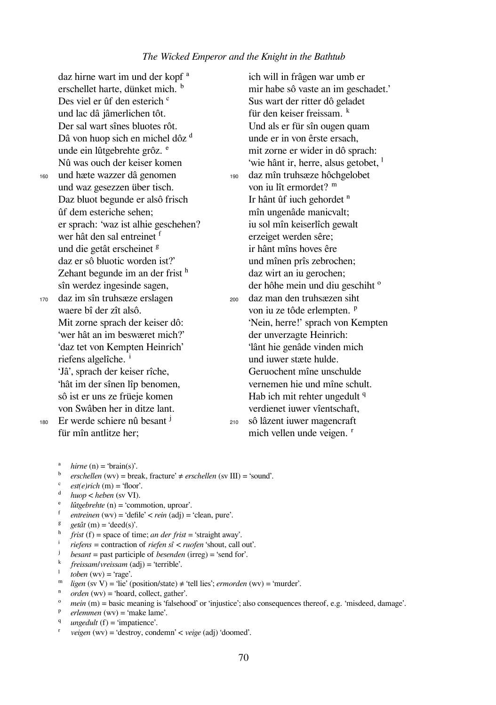|     | daz hirne wart im und der kopf <sup>a</sup> |     | ich will in frâgen war umb er                    |
|-----|---------------------------------------------|-----|--------------------------------------------------|
|     | erschellet harte, dünket mich. b            |     | mir habe sô vaste an im geschadet.'              |
|     | Des viel er ûf den esterich <sup>c</sup>    |     | Sus wart der ritter dô geladet                   |
|     | und lac dâ jâmerlichen tôt.                 |     | für den keiser freissam. <sup>k</sup>            |
|     | Der sal wart sînes bluotes rôt.             |     | Und als er für sîn ougen quam                    |
|     | Dâ von huop sich en michel dôz d            |     | unde er in von êrste ersach,                     |
|     | unde ein lûtgebrehte grôz. <sup>e</sup>     |     | mit zorne er wider in dô sprach:                 |
|     | Nû was ouch der keiser komen                |     | 'wie hânt ir, herre, alsus getobet, <sup>1</sup> |
| 160 | und hæte wazzer dâ genomen                  | 190 | daz mîn truhsæze hôchgelobet                     |
|     | und waz gesezzen über tisch.                |     | von iu lît ermordet? m                           |
|     | Daz bluot begunde er alsô frisch            |     | Ir hânt ûf iuch gehordet <sup>n</sup>            |
|     | ûf dem esteriche sehen;                     |     | mîn ungenâde manicvalt;                          |
|     | er sprach: 'waz ist alhie geschehen?        |     | iu sol mîn keiserlîch gewalt                     |
|     | wer hât den sal entreinet f                 |     | erzeiget werden sêre;                            |
|     | und die getât erscheinet <sup>g</sup>       |     | ir hânt mîns hoves êre                           |
|     | daz er sô bluotic worden ist?'              |     | und mînen prîs zebrochen;                        |
|     | Zehant begunde im an der frist h            |     | daz wirt an iu gerochen;                         |
|     | sîn werdez ingesinde sagen,                 |     | der hôhe mein und diu geschiht <sup>o</sup>      |
| 170 | daz im sîn truhsæze erslagen                | 200 | daz man den truhsæzen siht                       |
|     | waere bî der zît alsô.                      |     | von iu ze tôde erlempten. <sup>p</sup>           |
|     | Mit zorne sprach der keiser dô:             |     | 'Nein, herre!' sprach von Kempten                |
|     | 'wer hât an im beswæret mich?'              |     | der unverzagte Heinrich:                         |
|     | 'daz tet von Kempten Heinrich'              |     | 'lânt hie genâde vinden mich                     |
|     | riefens algelîche. <sup>1</sup>             |     | und iuwer stæte hulde.                           |
|     | 'Jâ', sprach der keiser rîche,              |     | Geruochent mîne unschulde                        |
|     | 'hât im der sînen lîp benomen,              |     | vernemen hie und mîne schult.                    |
|     | sô ist er uns ze früeje komen               |     | Hab ich mit rehter ungedult <sup>q</sup>         |
|     | von Swâben her in ditze lant.               |     | verdienet iuwer vîentschaft,                     |
| 180 | Er werde schiere nû besant <sup>j</sup>     | 210 | sô lâzent iuwer magencraft                       |
|     | für mîn antlitze her;                       |     | mich vellen unde veigen. <sup>r</sup>            |

- <sup>b</sup> *erschellen* (wv) = break, fracture'  $\neq$  *erschellen* (sv III) = 'sound'.
- $est(e)rich$  (m) = 'floor'.
- ᵈ *huop* < *heben* (sv VI).
- $\hat{u}$  *lûtgebrehte* (n) = 'commotion, uproar'.
- ᶠ *entreinen* (wv) = 'defile' < *rein* (adj) = 'clean, pure'.
- <sup>g</sup> *getât* (m) = 'deed(s)'.
- $\frac{h}{dt}$  *frist* (f) = space of time; *an der frist* = 'straight away'.<br>*i rigton* = contraction of *rigton* of *z* rugton 'shout call
- ⁱ *riefens =* contraction of *riefen sî* < *ruofen* 'shout, call out'.
- ʲ *besant* = past participle of *besenden* (irreg) = 'send for'.
- ᵏ *freissam*/*vreissam* (adj) = 'terrible'.
- $to ben$  (wv) = 'rage'.
- ᵐ *ligen* (sv V) = 'lie' (position/state) ≠ 'tell lies'; *ermorden* (wv) = 'murder'.
- $\int_{0}^{\pi}$  *orden* (wv) = 'hoard, collect, gather'.
- *mein* (m) = basic meaning is 'falsehood' or 'injustice'; also consequences thereof, e.g. 'misdeed, damage'.
- $P$  *erlemmen* (wv) = 'make lame'.
- q *ungedult* (f) = 'impatience'.
- ʳ *veigen* (wv) = 'destroy, condemn' < *veige* (adj) 'doomed'.

 $^a$  *hirne* (n) = 'brain(s)'.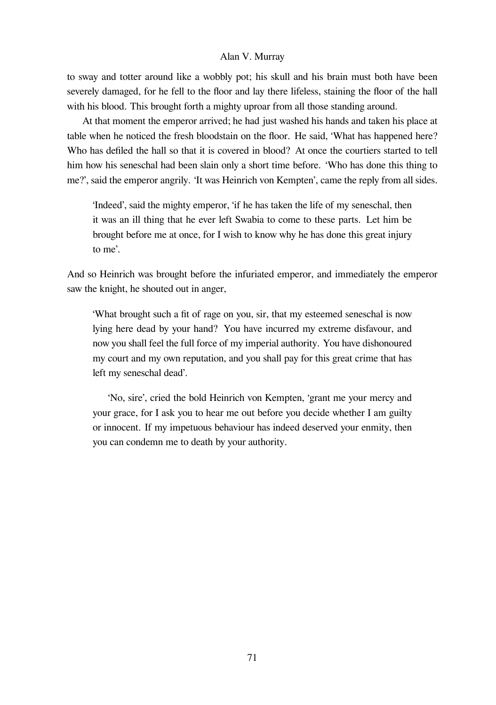to sway and totter around like a wobbly pot; his skull and his brain must both have been severely damaged, for he fell to the floor and lay there lifeless, staining the floor of the hall with his blood. This brought forth a mighty uproar from all those standing around.

At that moment the emperor arrived; he had just washed his hands and taken his place at table when he noticed the fresh bloodstain on the floor. He said, 'What has happened here? Who has defiled the hall so that it is covered in blood? At once the courtiers started to tell him how his seneschal had been slain only a short time before. 'Who has done this thing to me?', said the emperor angrily. 'It was Heinrich von Kempten', came the reply from all sides.

'Indeed', said the mighty emperor, 'if he has taken the life of my seneschal, then it was an ill thing that he ever left Swabia to come to these parts. Let him be brought before me at once, for I wish to know why he has done this great injury to me'.

And so Heinrich was brought before the infuriated emperor, and immediately the emperor saw the knight, he shouted out in anger,

'What brought such a fit of rage on you, sir, that my esteemed seneschal is now lying here dead by your hand? You have incurred my extreme disfavour, and now you shall feel the full force of my imperial authority. You have dishonoured my court and my own reputation, and you shall pay for this great crime that has left my seneschal dead'.

'No, sire', cried the bold Heinrich von Kempten, 'grant me your mercy and your grace, for I ask you to hear me out before you decide whether I am guilty or innocent. If my impetuous behaviour has indeed deserved your enmity, then you can condemn me to death by your authority.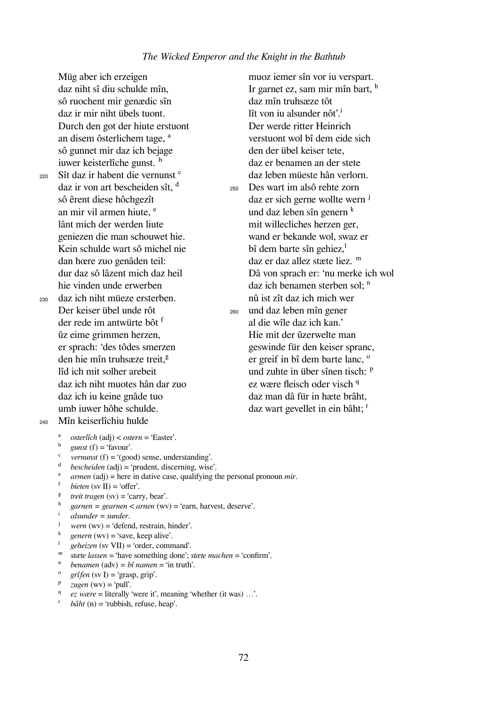Müg aber ich erzeigen daz niht sî diu schulde mîn, sô ruochent mir genædic sîn daz ir mir niht übels tuont. Durch den got der hiute erstuont an disem ôsterlichem tage, <sup>a</sup> sô gunnet mir daz ich bejage

iuwer keisterlîche gunst. <sup>b</sup> <sup>220</sup> Sît daz ir habent die vernunst ᶜ daz ir von art bescheiden sît,  $d$ sô êrent diese hôchgezît an mir vil armen hiute.<sup>e</sup> lânt mich der werden liute geniezen die man schouwet hie. Kein schulde wart sô michel nie dan hœre zuo genâden teil: dur daz sô lâzent mich daz heil hie vinden unde erwerben

- <sup>230</sup> daz ich niht müeze ersterben. Der keiser übel unde rôt der rede im antwürte bôt <sup>f</sup> ûz eime grimmen herzen, er sprach: 'des tôdes smerzen den hie mîn truhsæze treit.<sup>§</sup> lîd ich mit solher arebeit daz ich niht muotes hân dar zuo daz ich iu keine gnâde tuo umb iuwer hôhe schulde.
- <sup>240</sup> Mîn keiserlîchiu hulde

 $\alpha$  *osterlîch* (adj) < *ostern* = 'Easter'.

- $^{\circ}$  *gunst* (f) = 'favour'.
- *vernunst* (f) =  $'(good)$  sense, understanding'.
- *bescheiden* (adj) = 'prudent, discerning, wise'.
- <sup>e</sup> *armen* (adj) = here in dative case, qualifying the personal pronoun *mir*.<br>
<sup>f</sup> *bioton (ev* ID = 'offer'
- $bieten$  (sv II) = 'offer'.
- $t$ <sup>g</sup> *treit tragen* (sv) = 'carry, bear'.
- $\frac{h}{i}$  *garnen* = *gearnen* < *arnen* (wv) = 'earn, harvest, deserve'.
- ⁱ *alsunder* = *sunder*.
- $$
- $\phi$  *genern* (wv) = 'save, keep alive'.
- ˡ *geheizen* (sv VII) = 'order, command'.
- ᵐ *stæte lassen* = 'have something done'; *stæte machen* = 'confirm'.
- $^n$  *benamen* (adv) = *bî namen* = 'in truth'.
- $gr\hat{i}$ *fen* (sv I) = 'grasp, grip'.
- $P$  *zugen* (wv) = 'pull'.
- <sup>q</sup> *ez wære* = literally 'were it', meaning 'whether (it was) ...'.
- $b\hat{a}ht$  (n) = 'rubbish, refuse, heap'.

muoz iemer sîn vor iu verspart. Ir garnet ez, sam mir mîn bart,  $<sup>h</sup>$ </sup> daz mîn truhsæze tôt lît von iu alsunder nôt'.<sup>i</sup> Der werde ritter Heinrich verstuont wol bî dem eide sich den der übel keiser tete, daz er benamen an der stete daz leben müeste hân verlorn. <sup>250</sup> Des wart im alsô rehte zorn daz er sich gerne wollte wern <sup>j</sup> und daz leben sîn genern  $<sup>k</sup>$ </sup> mit willecliches herzen ger, wand er bekande wol, swaz er  $\mathbf{b}$ î dem barte sîn gehiez, $\mathbf{a}^{\dagger}$ daz er daz allez stæte liez. <sup>m</sup> Dâ von sprach er: 'nu merke ich wol daz ich benamen sterben sol:  $<sup>n</sup>$ </sup> nû ist zît daz ich mich wer <sup>260</sup> und daz leben mîn gener al die wîle daz ich kan.' Hie mit der ûzerwelte man geswinde für den keiser spranc, er greif in bî dem barte lanc,  $\degree$ und zuhte in über sînen tisch: <sup>p</sup> ez wære fleisch oder visch <sup>q</sup> daz man dâ für in hæte brâht, daz wart gevellet in ein bâht; <sup>r</sup>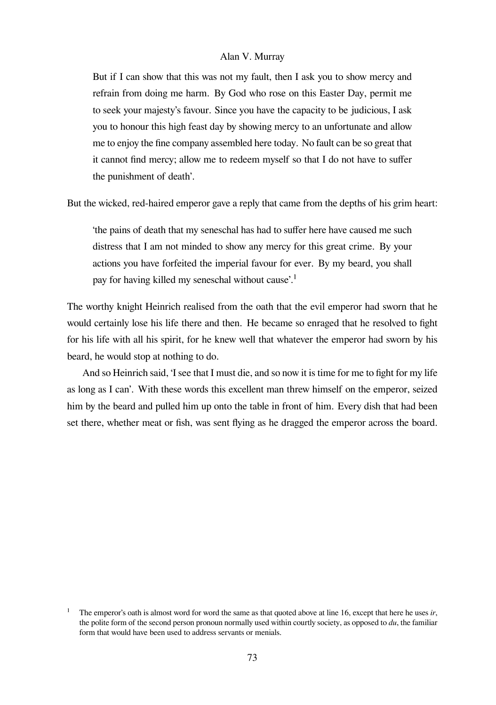But if I can show that this was not my fault, then I ask you to show mercy and refrain from doing me harm. By God who rose on this Easter Day, permit me to seek your majesty's favour. Since you have the capacity to be judicious, I ask you to honour this high feast day by showing mercy to an unfortunate and allow me to enjoy the fine company assembled here today. No fault can be so great that it cannot find mercy; allow me to redeem myself so that I do not have to suffer the punishment of death'.

But the wicked, red-haired emperor gave a reply that came from the depths of his grim heart:

'the pains of death that my seneschal has had to suffer here have caused me such distress that I am not minded to show any mercy for this great crime. By your actions you have forfeited the imperial favour for ever. By my beard, you shall pay for having killed my seneschal without cause'.<sup>1</sup>

The worthy knight Heinrich realised from the oath that the evil emperor had sworn that he would certainly lose his life there and then. He became so enraged that he resolved to fight for his life with all his spirit, for he knew well that whatever the emperor had sworn by his beard, he would stop at nothing to do.

And so Heinrich said, 'I see that I must die, and so now it is time for me to fight for my life as long as I can'. With these words this excellent man threw himself on the emperor, seized him by the beard and pulled him up onto the table in front of him. Every dish that had been set there, whether meat or fish, was sent flying as he dragged the emperor across the board.

The emperor's oath is almost word for word the same as that quoted above at line 16, except that here he uses *ir*, the polite form of the second person pronoun normally used within courtly society, as opposed to *du*, the familiar form that would have been used to address servants or menials.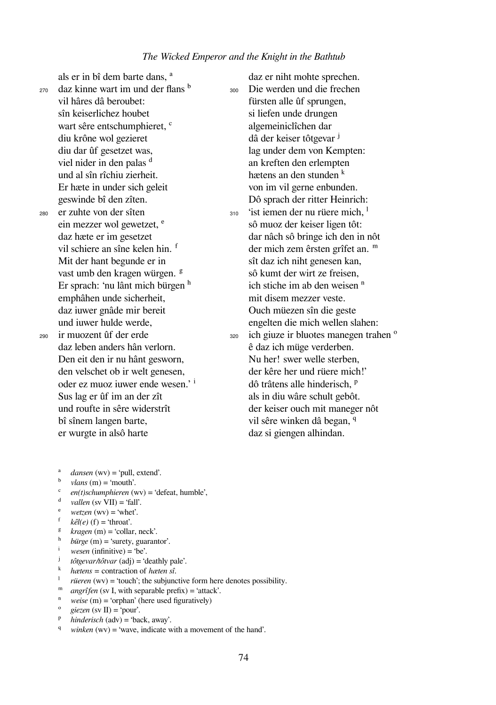$_{270}$  daz kinne wart im und der flans  $<sup>b</sup>$ </sup> vil hâres dâ beroubet: sîn keiserlichez houbet wart sêre entschumphieret, <sup>c</sup> diu krône wol gezieret diu dar ûf gesetzet was, viel nider in den palas <sup>d</sup> und al sîn rîchiu zierheit. Er hæte in under sich geleit geswinde bî den zîten.

als er in bî dem barte dans. <sup>a</sup>

<sup>280</sup> er zuhte von der sîten ein mezzer wol gewetzet.<sup>e</sup> daz hæte er im gesetzet vil schiere an sîne kelen hin. <sup>f</sup> Mit der hant begunde er in vast umb den kragen würgen. <sup>g</sup> Er sprach: 'nu lânt mich bürgen  $<sup>h</sup>$ </sup> emphâhen unde sicherheit, daz iuwer gnâde mir bereit und iuwer hulde werde, <sup>290</sup> ir muozent ûf der erde daz leben anders hân verlorn. Den eit den ir nu hânt gesworn, den velschet ob ir welt genesen, oder ez muoz iuwer ende wesen.' i Sus lag er ûf im an der zît und roufte in sêre widerstrît bî sînem langen barte, er wurgte in alsô harte

daz er niht mohte sprechen. <sup>300</sup> Die werden und die frechen fürsten alle ûf sprungen, si liefen unde drungen algemeiniclîchen dar dâ der keiser tôtgevar <sup>j</sup> lag under dem von Kempten: an kreften den erlempten hætens an den stunden  $<sup>k</sup>$ </sup> von im vil gerne enbunden. Dô sprach der ritter Heinrich:  $310$  'ist iemen der nu rüere mich, <sup>1</sup> sô muoz der keiser ligen tôt: dar nâch sô bringe ich den in nôt der mich zem êrsten grîfet an. <sup>m</sup> sît daz ich niht genesen kan, sô kumt der wirt ze freisen, ich stiche im ab den weisen  $<sup>n</sup>$ </sup> mit disem mezzer veste. Ouch müezen sîn die geste engelten die mich wellen slahen:  $320$  ich giuze ir bluotes manegen trahen  $\degree$ ê daz ich müge verderben. Nu her! swer welle sterben, der kêre her und rüere mich!' dô trâtens alle hinderisch, <sup>p</sup> als in diu wâre schult gebôt. der keiser ouch mit maneger nôt vil sêre winken dâ began, <sup>q</sup> daz si giengen alhindan.

- $d$ *dansen* (wv) = 'pull, extend'.
- $\textit{vlans}\ (m) = \text{`mouth'}$ .
- ᶜ *en(t)schumphieren* (wv) = 'defeat, humble',
- $d$  *vallen* (sv VII) = 'fall'.
- $wetzen$  (wv) = 'whet'.
- $k\hat{e}l(e)$  (f) = 'throat'.
- $k \rceil$  *kragen* (m) = 'collar, neck'.
- $\frac{h}{i}$  *bürge* (m) = 'surety, guarantor'.
- *wesen* (infinitive) = 'be'.<br> *i tôtoevar hôtvar* (adj) = 'd
- *tôtgevar/tôtvar* (adj) = 'deathly pale'.
- $^k$  *hætens* = contraction of *hæten sî*.
- $riieren$  (wv) = 'touch'; the subjunctive form here denotes possibility.
- <sup>m</sup> *angrîfen* (sv I, with separable prefix) = 'attack'.
- <sup>n</sup> *weise* (m) = 'orphan' (here used figuratively)
- $\chi$ *giezen* (sv II) = 'pour'.
- ᵖ *hinderisch* (adv) = 'back, away'.
- *winken* (wv) = 'wave, indicate with a movement of the hand'.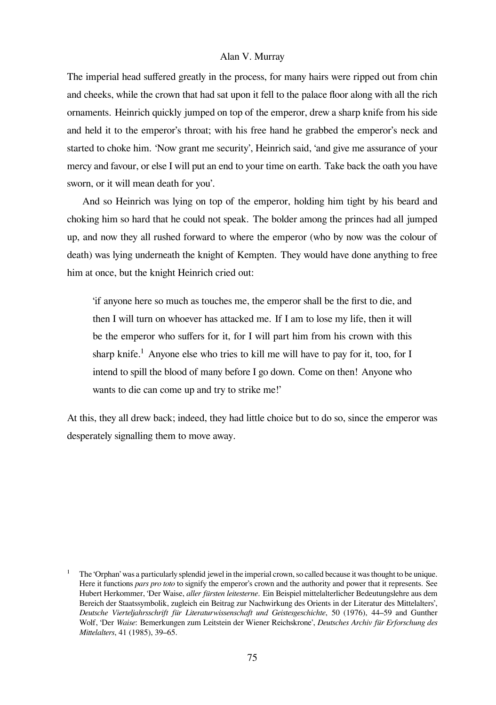The imperial head suffered greatly in the process, for many hairs were ripped out from chin and cheeks, while the crown that had sat upon it fell to the palace floor along with all the rich ornaments. Heinrich quickly jumped on top of the emperor, drew a sharp knife from his side and held it to the emperor's throat; with his free hand he grabbed the emperor's neck and started to choke him. 'Now grant me security', Heinrich said, 'and give me assurance of your mercy and favour, or else I will put an end to your time on earth. Take back the oath you have sworn, or it will mean death for you'.

And so Heinrich was lying on top of the emperor, holding him tight by his beard and choking him so hard that he could not speak. The bolder among the princes had all jumped up, and now they all rushed forward to where the emperor (who by now was the colour of death) was lying underneath the knight of Kempten. They would have done anything to free him at once, but the knight Heinrich cried out:

'if anyone here so much as touches me, the emperor shall be the first to die, and then I will turn on whoever has attacked me. If I am to lose my life, then it will be the emperor who suffers for it, for I will part him from his crown with this sharp knife.<sup>1</sup> Anyone else who tries to kill me will have to pay for it, too, for I intend to spill the blood of many before I go down. Come on then! Anyone who wants to die can come up and try to strike me!'

At this, they all drew back; indeed, they had little choice but to do so, since the emperor was desperately signalling them to move away.

The 'Orphan' was a particularly splendid jewel in the imperial crown, so called because it was thought to be unique. Here it functions *pars pro toto* to signify the emperor's crown and the authority and power that it represents. See Hubert Herkommer, 'Der Waise, *aller fürsten leitesterne*. Ein Beispiel mittelalterlicher Bedeutungslehre aus dem Bereich der Staatssymbolik, zugleich ein Beitrag zur Nachwirkung des Orients in der Literatur des Mittelalters', *Deutsche Vierteljahrsschrift für Literaturwissenschaft und Geistesgeschichte*, 50 (1976), 44–59 and Gunther Wolf, 'Der *Waise*: Bemerkungen zum Leitstein der Wiener Reichskrone', *Deutsches Archiv für Erforschung des Mittelalters*, 41 (1985), 39–65.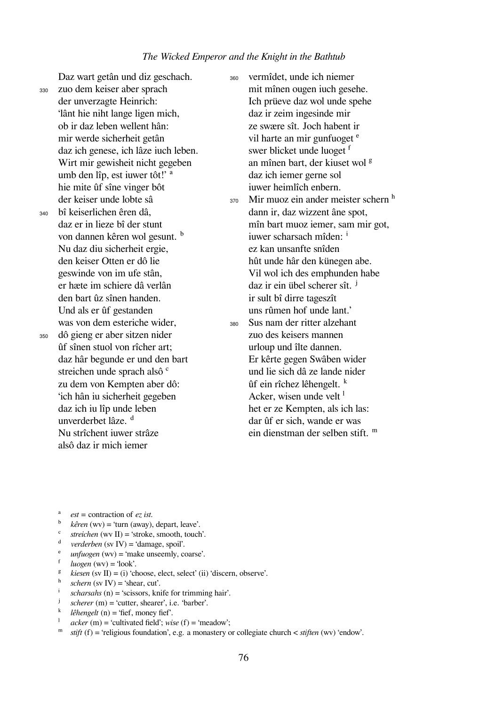Daz wart getân und diz geschach.

<sup>330</sup> zuo dem keiser aber sprach der unverzagte Heinrich: 'lânt hie niht lange ligen mich, ob ir daz leben wellent hân: mir werde sicherheit getân daz ich genese, ich lâze iuch leben. Wirt mir gewisheit nicht gegeben umb den lîp, est iuwer tôt!' <sup>a</sup> hie mite ûf sîne vinger bôt der keiser unde lobte sâ

<sup>340</sup> bî keiserlichen êren dâ, daz er in lieze bî der stunt von dannen kêren wol gesunt. <sup>b</sup> Nu daz diu sicherheit ergie, den keiser Otten er dô lie geswinde von im ufe stân, er hæte im schiere dâ verlân den bart ûz sînen handen. Und als er ûf gestanden was von dem esteriche wider, <sup>350</sup> dô gieng er aber sitzen nider ûf sînen stuol von rîcher art; daz hâr begunde er und den bart streichen unde sprach alsô <sup>c</sup> zu dem von Kempten aber dô: 'ich hân iu sicherheit gegeben daz ich iu lîp unde leben unverderbet lâze.<sup>d</sup> Nu strîchent iuwer strâze alsô daz ir mich iemer

<sup>360</sup> vermîdet, unde ich niemer mit mînen ougen iuch gesehe. Ich prüeve daz wol unde spehe daz ir zeim ingesinde mir ze swære sît. Joch habent ir vil harte an mir gunfuoget <sup>e</sup> swer blicket unde luoget f an mînen bart, der kiuset wol <sup>g</sup> daz ich iemer gerne sol iuwer heimlîch enbern.  $370$  Mir muoz ein ander meister schern  $<sup>h</sup>$ </sup> dann ir, daz wizzent âne spot, mîn bart muoz iemer, sam mir got, iuwer scharsach mîden: i ez kan unsanfte snîden hût unde hâr den künegen abe. Vil wol ich des emphunden habe daz ir ein übel scherer sît. ʲ ir sult bî dirre tageszît uns rûmen hof unde lant.' <sup>380</sup> Sus nam der ritter alzehant zuo des keisers mannen urloup und îlte dannen. Er kêrte gegen Swâben wider und lie sich dâ ze lande nider ûf ein rîchez lêhengelt. ᵏ Acker, wisen unde velt $<sup>1</sup>$ </sup> het er ze Kempten, als ich las: dar ûf er sich, wande er was ein dienstman der selben stift.  $<sup>m</sup>$ </sup>

- ᵃ *est =* contraction of *ez ist*.
- <sup>b</sup> *kêren* (wv) = 'turn (away), depart, leave'.
- $\text{`}$  *streichen* (wv II) = 'stroke, smooth, touch'.
- ᵈ *verderben* (sv IV) = 'damage, spoil'.
- *unfuogen* (wv) = 'make unseemly, coarse'.
- $luogen(wv) = 'look'.$
- $\frac{g}{g}$  *kiesen* (sv II) = (i) 'choose, elect, select' (ii) 'discern, observe'.
- $\sum_{i=1}^{h} \text{schern (sv IV)} = \text{Shear, cut'.}$
- $\frac{1}{\pi}$  *scharsahs* (n) = 'scissors, knife for trimming hair'.
- $scherer$  (m) = 'cutter, shearer', i.e. 'barber'.
- <sup>k</sup> *lêhengelt* (n) = 'fief, money fief'.
- $acker$  (m) = 'cultivated field'; *wise* (f) = 'meadow';
- ᵐ *stift* (f) = 'religious foundation', e.g. a monastery or collegiate church < *stiften* (wv) 'endow'.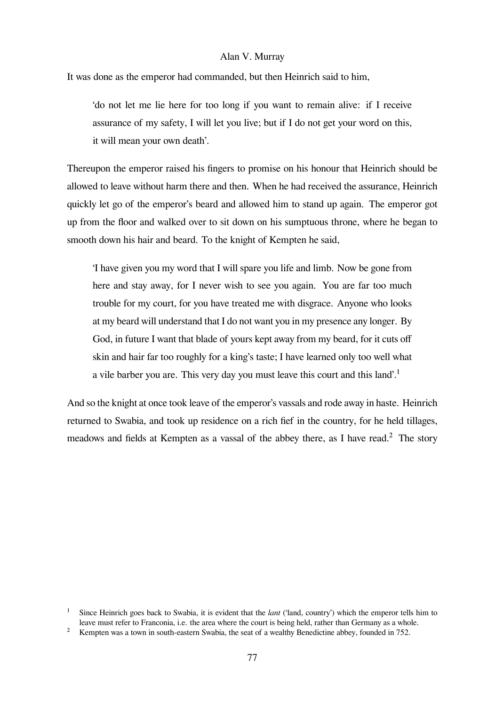It was done as the emperor had commanded, but then Heinrich said to him,

'do not let me lie here for too long if you want to remain alive: if I receive assurance of my safety, I will let you live; but if I do not get your word on this, it will mean your own death'.

Thereupon the emperor raised his fingers to promise on his honour that Heinrich should be allowed to leave without harm there and then. When he had received the assurance, Heinrich quickly let go of the emperor's beard and allowed him to stand up again. The emperor got up from the floor and walked over to sit down on his sumptuous throne, where he began to smooth down his hair and beard. To the knight of Kempten he said,

'I have given you my word that I will spare you life and limb. Now be gone from here and stay away, for I never wish to see you again. You are far too much trouble for my court, for you have treated me with disgrace. Anyone who looks at my beard will understand that I do not want you in my presence any longer. By God, in future I want that blade of yours kept away from my beard, for it cuts off skin and hair far too roughly for a king's taste; I have learned only too well what a vile barber you are. This very day you must leave this court and this land'.<sup>1</sup>

And so the knight at once took leave of the emperor's vassals and rode away in haste. Heinrich returned to Swabia, and took up residence on a rich fief in the country, for he held tillages, meadows and fields at Kempten as a vassal of the abbey there, as I have read.<sup>2</sup> The story

<sup>&</sup>lt;sup>1</sup> Since Heinrich goes back to Swabia, it is evident that the *lant* ('land, country') which the emperor tells him to leave must refer to Franconia, i.e. the area where the court is being held, rather than Germany as a whole.

<sup>&</sup>lt;sup>2</sup> Kempten was a town in south-eastern Swabia, the seat of a wealthy Benedictine abbey, founded in 752.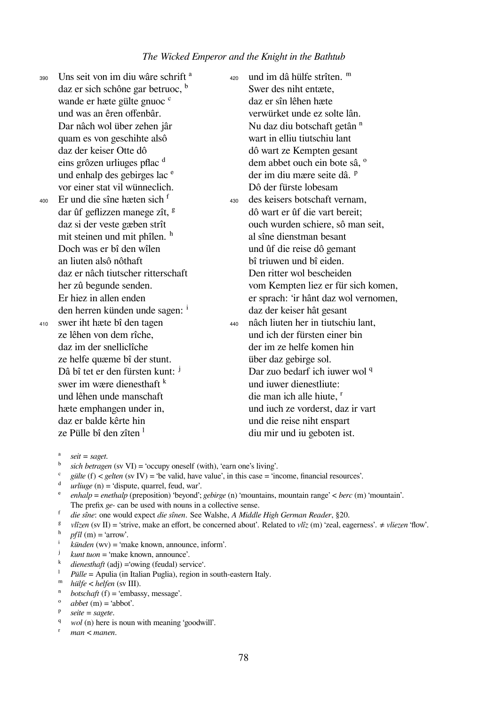390 Uns seit von im diu wâre schrift<sup>a</sup> daz er sich schône gar betruoc, <sup>b</sup> wande er hæte gülte gnuoc<sup>e</sup> und was an êren offenbâr. Dar nâch wol über zehen jâr quam es von geschihte alsô daz der keiser Otte dô eins grôzen urliuges pflac <sup>d</sup> und enhalp des gebirges lac <sup>e</sup> vor einer stat vil wünneclich.

 $_{400}$  Er und die sîne hæten sich  $^{\text{f}}$ dar ûf geflizzen manege zît, <sup>g</sup> daz si der veste gæben strît mit steinen und mit phîlen. h Doch was er bî den wîlen an liuten alsô nôthaft daz er nâch tiutscher ritterschaft her zû begunde senden. Er hiez in allen enden

den herren künden unde sagen: <sup>i</sup> <sup>410</sup> swer iht hæte bî den tagen ze lêhen von dem rîche, daz im der snelliclîche ze helfe quæme bî der stunt. Dâ bî tet er den fürsten kunt: <sup>j</sup> swer im wære dienesthaft  $k$ und lêhen unde manschaft hæte emphangen under in, daz er balde kêrte hin ze Pülle bî den zîten  $<sup>1</sup>$ </sup>

420 und im dâ hülfe strîten. <sup>m</sup> Swer des niht entæte, daz er sîn lêhen hæte verwürket unde ez solte lân. Nu daz diu botschaft getân <sup>n</sup> wart in elliu tiutschiu lant dô wart ze Kempten gesant dem abbet ouch ein bote sâ, <sup>o</sup> der im diu mære seite dâ. <sup>p</sup> Dô der fürste lobesam <sup>430</sup> des keisers botschaft vernam, dô wart er ûf die vart bereit; ouch wurden schiere, sô man seit, al sîne dienstman besant und ûf die reise dô gemant bî triuwen und bî eiden. Den ritter wol bescheiden vom Kempten liez er für sich komen, er sprach: 'ir hânt daz wol vernomen, daz der keiser hât gesant <sup>440</sup> nâch liuten her in tiutschiu lant, und ich der fürsten einer bin der im ze helfe komen hin über daz gebirge sol. Dar zuo bedarf ich iuwer wol q und iuwer dienestliute: die man ich alle hiute, <sup>r</sup> und iuch ze vorderst, daz ir vart und die reise niht enspart diu mir und iu geboten ist.

- $gülte$  (f)  $\leq$  *gelten* (sv IV) = 'be valid, have value', in this case = 'income, financial resources'.
- ᵈ *urliuge* (n) = 'dispute, quarrel, feud, war'.
- ᵉ *enhalp* = *enethalp* (preposition) 'beyond'; *gebirge* (n) 'mountains, mountain range' < *berc* (m) 'mountain'. The prefix *ge-* can be used with nouns in a collective sense.
- ᶠ *die sîne*: one would expect *die sînen*. See Walshe, *A Middle High German Reader*, §20.
- ᵍ *vlîzen* (sv II) = 'strive, make an effort, be concerned about'. Related to *vlîz* (m) 'zeal, eagerness'. ≠ *vliezen* 'flow'.
- $\oint_{0}^{h}$  *pfîl* (m) = 'arrow'.
- *künden* (wv) = 'make known, announce, inform'.
- <sup>j</sup> *kunt tuon* = 'make known, announce'.<br>
<sup>k</sup> *dianosthaft* (adi) = 'owing (feudal) ser
- $\frac{k}{\text{di}}$  *dienesthaft* (adj) = 'owing (feudal) service'.
- Pülle = Apulia (in Italian Puglia), region in south-eastern Italy.
- ᵐ *hülfe < helfen* (sv III).
- *<i>botschaft* (f) = 'embassy, message'.
- $abbet(m) = 'abbot'.$
- ᵖ *seite = sagete*.
- q *wol* (n) here is noun with meaning 'goodwill'.
- ʳ *man < manen*.

 $seit = saget.$ 

 $\alpha$  *sich betragen* (sv VI) = 'occupy oneself (with), 'earn one's living'.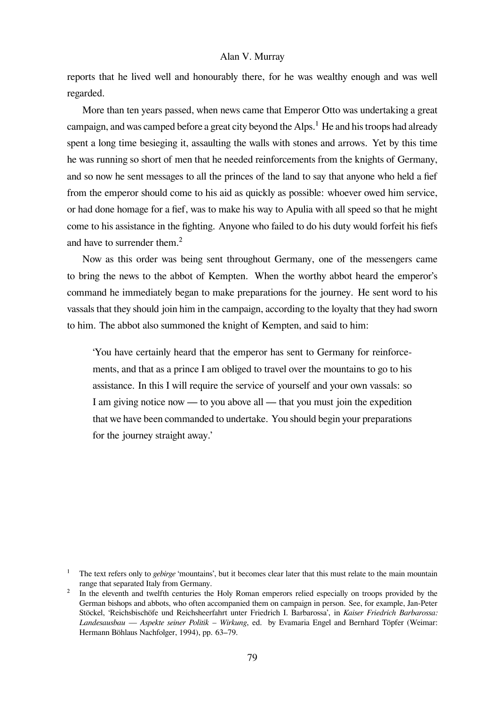reports that he lived well and honourably there, for he was wealthy enough and was well regarded.

More than ten years passed, when news came that Emperor Otto was undertaking a great campaign, and was camped before a great city beyond the Alps.<sup>1</sup> He and his troops had already spent a long time besieging it, assaulting the walls with stones and arrows. Yet by this time he was running so short of men that he needed reinforcements from the knights of Germany, and so now he sent messages to all the princes of the land to say that anyone who held a fief from the emperor should come to his aid as quickly as possible: whoever owed him service, or had done homage for a fief, was to make his way to Apulia with all speed so that he might come to his assistance in the fighting. Anyone who failed to do his duty would forfeit his fiefs and have to surrender them.<sup>2</sup>

Now as this order was being sent throughout Germany, one of the messengers came to bring the news to the abbot of Kempten. When the worthy abbot heard the emperor's command he immediately began to make preparations for the journey. He sent word to his vassals that they should join him in the campaign, according to the loyalty that they had sworn to him. The abbot also summoned the knight of Kempten, and said to him:

'You have certainly heard that the emperor has sent to Germany for reinforcements, and that as a prince I am obliged to travel over the mountains to go to his assistance. In this I will require the service of yourself and your own vassals: so I am giving notice now — to you above all — that you must join the expedition that we have been commanded to undertake. You should begin your preparations for the journey straight away.'

The text refers only to *gebirge* 'mountains', but it becomes clear later that this must relate to the main mountain range that separated Italy from Germany.

<sup>&</sup>lt;sup>2</sup> In the eleventh and twelfth centuries the Holy Roman emperors relied especially on troops provided by the German bishops and abbots, who often accompanied them on campaign in person. See, for example, Jan-Peter Stöckel, 'Reichsbischöfe und Reichsheerfahrt unter Friedrich I. Barbarossa', in *Kaiser Friedrich Barbarossa: Landesausbau — Aspekte seiner Politik – Wirkung*, ed. by Evamaria Engel and Bernhard Töpfer (Weimar: Hermann Böhlaus Nachfolger, 1994), pp. 63–79.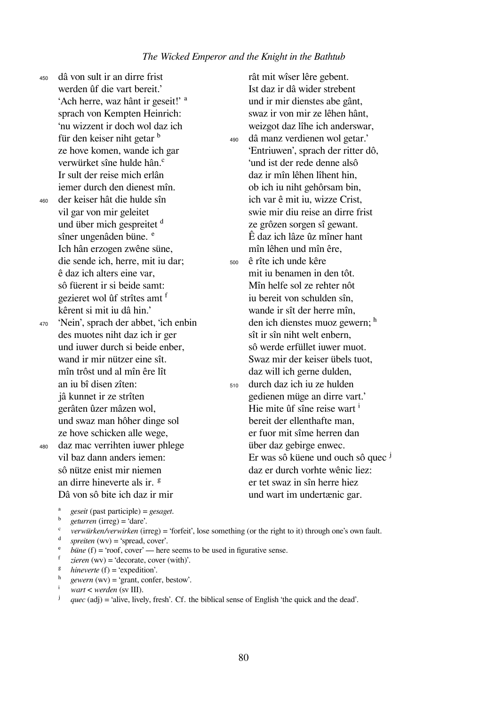<sup>450</sup> dâ von sult ir an dirre frist werden ûf die vart bereit.' 'Ach herre, waz hânt ir geseit!' <sup>a</sup> sprach von Kempten Heinrich: 'nu wizzent ir doch wol daz ich für den keiser niht getar <sup>b</sup> ze hove komen, wande ich gar verwürket sîne hulde hân.ᶜ Ir sult der reise mich erlân iemer durch den dienest mîn. <sup>460</sup> der keiser hât die hulde sîn vil gar von mir geleitet und über mich gespreitet <sup>d</sup> sîner ungenâden büne. <sup>e</sup> Ich hân erzogen zwêne süne, die sende ich, herre, mit iu dar; ê daz ich alters eine var, sô füerent ir si beide samt: gezieret wol ûf strîtes amt f kêrent si mit iu dâ hin.' <sup>470</sup> 'Nein', sprach der abbet, 'ich enbin des muotes niht daz ich ir ger und iuwer durch si beide enber, wand ir mir nützer eine sît. mîn trôst und al mîn êre lît an iu bî disen zîten: jâ kunnet ir ze strîten gerâten ûzer mâzen wol, und swaz man hôher dinge sol ze hove schicken alle wege, <sup>480</sup> daz mac verrihten iuwer phlege vil baz dann anders iemen: sô nütze enist mir niemen an dirre hineverte als ir. <sup>g</sup> Dâ von sô bite ich daz ir mir

rât mit wîser lêre gebent. Ist daz ir dâ wider strebent und ir mir dienstes abe gânt, swaz ir von mir ze lêhen hânt, weizgot daz lîhe ich anderswar, <sup>490</sup> dâ manz verdienen wol getar.' 'Entriuwen', sprach der ritter dô, 'und ist der rede denne alsô daz ir mîn lêhen lîhent hin, ob ich iu niht gehôrsam bin, ich var ê mit iu, wizze Crist, swie mir diu reise an dirre frist ze grôzen sorgen sî gewant. Ê daz ich lâze ûz mîner hant mîn lêhen und mîn êre, <sup>500</sup> ê rîte ich unde kêre mit iu benamen in den tôt. Mîn helfe sol ze rehter nôt iu bereit von schulden sîn, wande ir sît der herre mîn, den ich dienstes muoz gewern; h sît ir sîn niht welt enbern, sô werde erfüllet iuwer muot. Swaz mir der keiser übels tuot, daz will ich gerne dulden, <sup>510</sup> durch daz ich iu ze hulden gedienen müge an dirre vart.' Hie mite ûf sîne reise wart  $\mathbf{r}$ bereit der ellenthafte man, er fuor mit sîme herren dan über daz gebirge enwec. Er was sô küene und ouch sô quec  $^j$ daz er durch vorhte wênic liez: er tet swaz in sîn herre hiez und wart im undertænic gar.

ᵃ *geseit* (past participle) = *gesaget*.

- ᵇ *geturren* (irreg) = 'dare'.
- ᶜ *verwürken/verwirken* (irreg) = 'forfeit', lose something (or the right to it) through one's own fault.
- spreiten (wv) = 'spread, cover'.
- *büne* (f) = 'roof, cover' here seems to be used in figurative sense.
- $\dot{f}$  *zieren* (wv) = 'decorate, cover (with)'.
- $^g$  *hineverte* (f) = 'expedition'.
- $y^h$  *gewern* (wv) = 'grant, confer, bestow'.
- ⁱ *wart < werden* (sv III).
- $\dot{q}$  *quec* (adj) = 'alive, lively, fresh'. Cf. the biblical sense of English 'the quick and the dead'.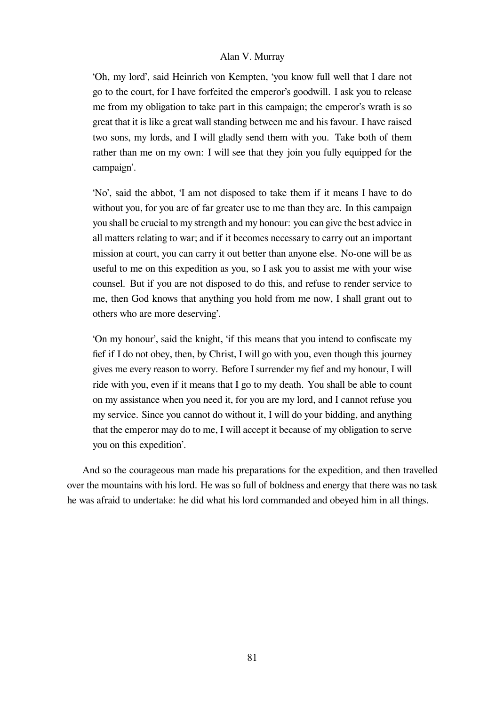'Oh, my lord', said Heinrich von Kempten, 'you know full well that I dare not go to the court, for I have forfeited the emperor's goodwill. I ask you to release me from my obligation to take part in this campaign; the emperor's wrath is so great that it is like a great wall standing between me and his favour. I have raised two sons, my lords, and I will gladly send them with you. Take both of them rather than me on my own: I will see that they join you fully equipped for the campaign'.

'No', said the abbot, 'I am not disposed to take them if it means I have to do without you, for you are of far greater use to me than they are. In this campaign you shall be crucial to my strength and my honour: you can give the best advice in all matters relating to war; and if it becomes necessary to carry out an important mission at court, you can carry it out better than anyone else. No-one will be as useful to me on this expedition as you, so I ask you to assist me with your wise counsel. But if you are not disposed to do this, and refuse to render service to me, then God knows that anything you hold from me now, I shall grant out to others who are more deserving'.

'On my honour', said the knight, 'if this means that you intend to confiscate my fief if I do not obey, then, by Christ, I will go with you, even though this journey gives me every reason to worry. Before I surrender my fief and my honour, I will ride with you, even if it means that I go to my death. You shall be able to count on my assistance when you need it, for you are my lord, and I cannot refuse you my service. Since you cannot do without it, I will do your bidding, and anything that the emperor may do to me, I will accept it because of my obligation to serve you on this expedition'.

And so the courageous man made his preparations for the expedition, and then travelled over the mountains with his lord. He was so full of boldness and energy that there was no task he was afraid to undertake: he did what his lord commanded and obeyed him in all things.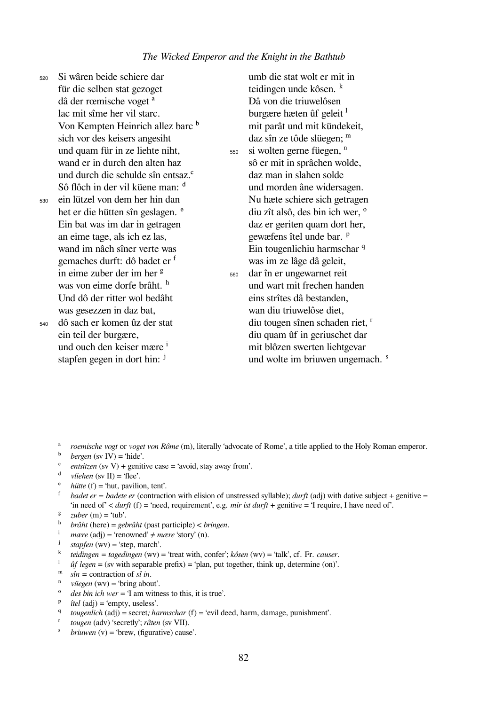<sup>520</sup> Si wâren beide schiere dar für die selben stat gezoget dâ der rœmische voget <sup>a</sup> lac mit sîme her vil starc. Von Kempten Heinrich allez barc <sup>b</sup> sich vor des keisers angesiht und quam für in ze liehte niht, wand er in durch den alten haz und durch die schulde sîn entsaz.<sup>c</sup> Sô flôch in der vil küene man: <sup>d</sup> <sup>530</sup> ein lützel von dem her hin dan het er die hütten sîn geslagen. <sup>e</sup> Ein bat was im dar in getragen an eime tage, als ich ez las, wand im nâch sîner verte was gemaches durft: dô badet er <sup>f</sup> in eime zuber der im her <sup>g</sup> was von eime dorfe brâht. h Und dô der ritter wol bedâht was gesezzen in daz bat, <sup>540</sup> dô sach er komen ûz der stat umb die stat wolt er mit in teidingen unde kôsen. <sup>k</sup> Dâ von die triuwelôsen



# burgære hæten ûf geleit $<sup>1</sup>$ </sup> mit parât und mit kündekeit, daz sîn ze tôde slüegen; m 550 si wolten gerne füegen, <sup>n</sup> sô er mit in sprâchen wolde, daz man in slahen solde und morden âne widersagen. Nu hæte schiere sich getragen diu zît alsô, des bin ich wer. <sup>o</sup> daz er geriten quam dort her, gewæfens îtel unde bar. <sup>P</sup> Ein tougenlichiu harmschar <sup>q</sup> was im ze lâge dâ geleit, <sup>560</sup> dar în er ungewarnet reit und wart mit frechen handen eins strîtes dâ bestanden,

wan diu triuwelôse diet, diu tougen sînen schaden riet, <sup>r</sup> diu quam ûf in geriuschet dar mit blôzen swerten liehtgevar und wolte im briuwen ungemach. <sup>s</sup>

- <sup>a</sup> *roemische vogt* or *voget von Rôme* (m), literally 'advocate of Rome', a title applied to the Holy Roman emperor.
- $^{b}$  *bergen* (sv IV) = 'hide'.
- $\frac{c}{d}$  *entsitzen* (sv V) + genitive case = 'avoid, stay away from'.
- $vliehen$  (sv II) = 'flee'.
- $\frac{e}{f}$  *hütte* (f) = 'hut, pavilion, tent'.
- *badet er = badete er* (contraction with elision of unstressed syllable); *durft* (adj) with dative subject + genitive = 'in need of' < *durft* (f) = 'need, requirement', e.g. *mir ist durft* + genitive = 'I require, I have need of'.
- $zuber$  (m) = 'tub'.
- ʰ *brâht* (here) = *gebrâht* (past participle) < *bringen*.
- $$
- $stapfen$  (wv) = 'step, march'.
- ᵏ *teidingen = tagedingen* (wv) = 'treat with, confer'; *kôsen* (wv) = 'talk', cf. Fr. *causer*.
- ˡ *ûf legen* = (sv with separable prefix) = 'plan, put together, think up, determine (on)'.
- $^{\text{m}}$  *sîn* = contraction of *sî in*.
- *vüegen* (wv) = 'bring about'.
- ᵒ *des bin ich wer* = 'I am witness to this, it is true'.
- $\hat{i}$  *itel* (adj) = 'empty, useless'.
- q *tougenlich* (adj) = secret*; harmschar* (f) = 'evil deed, harm, damage, punishment'.
- ʳ *tougen* (adv) 'secretly'; *râten* (sv VII).
- ˢ *briuwen* (v) = 'brew, (figurative) cause'.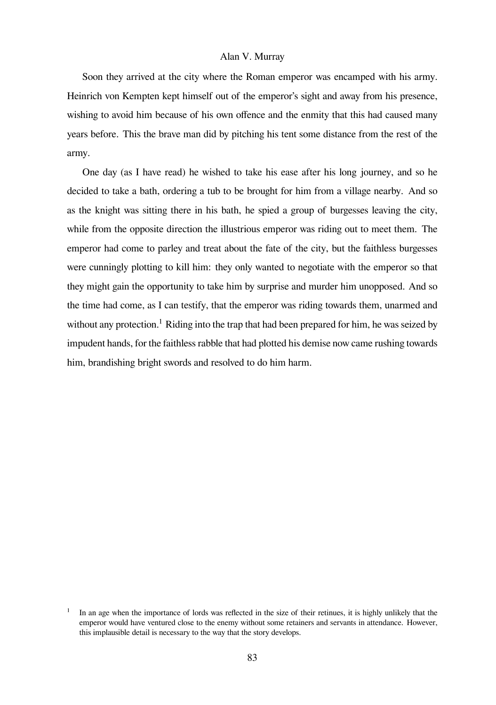Soon they arrived at the city where the Roman emperor was encamped with his army. Heinrich von Kempten kept himself out of the emperor's sight and away from his presence, wishing to avoid him because of his own offence and the enmity that this had caused many years before. This the brave man did by pitching his tent some distance from the rest of the army.

One day (as I have read) he wished to take his ease after his long journey, and so he decided to take a bath, ordering a tub to be brought for him from a village nearby. And so as the knight was sitting there in his bath, he spied a group of burgesses leaving the city, while from the opposite direction the illustrious emperor was riding out to meet them. The emperor had come to parley and treat about the fate of the city, but the faithless burgesses were cunningly plotting to kill him: they only wanted to negotiate with the emperor so that they might gain the opportunity to take him by surprise and murder him unopposed. And so the time had come, as I can testify, that the emperor was riding towards them, unarmed and without any protection.<sup>1</sup> Riding into the trap that had been prepared for him, he was seized by impudent hands, for the faithless rabble that had plotted his demise now came rushing towards him, brandishing bright swords and resolved to do him harm.

In an age when the importance of lords was reflected in the size of their retinues, it is highly unlikely that the emperor would have ventured close to the enemy without some retainers and servants in attendance. However, this implausible detail is necessary to the way that the story develops.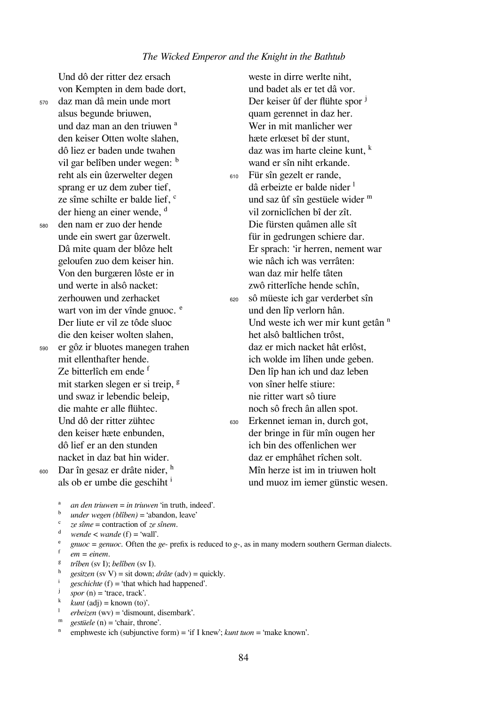von Kempten in dem bade dort,

<sup>570</sup> daz man dâ mein unde mort alsus begunde briuwen, und daz man an den triuwen<sup>a</sup> den keiser Otten wolte slahen, dô liez er baden unde twahen vil gar belîben under wegen: b reht als ein ûzerwelter degen sprang er uz dem zuber tief, ze sîme schilte er balde lief. <sup>c</sup> der hieng an einer wende. <sup>d</sup>

Und dô der ritter dez ersach

<sup>580</sup> den nam er zuo der hende unde ein swert gar ûzerwelt. Dâ mite quam der blôze helt geloufen zuo dem keiser hin. Von den burgæren lôste er in und werte in alsô nacket: zerhouwen und zerhacket wart von im der vînde gnuoc. <sup>e</sup> Der liute er vil ze tôde sluoc die den keiser wolten slahen,

<sup>590</sup> er gôz ir bluotes manegen trahen mit ellenthafter hende. Ze bitterlîch em ende f mit starken slegen er si treip, <sup>g</sup> und swaz ir lebendic beleip, die mahte er alle flühtec. Und dô der ritter zühtec den keiser hæte enbunden, dô lief er an den stunden nacket in daz bat hin wider. 600 Dar în gesaz er drâte nider, h

hæte erlœset bî der stunt, daz was im harte cleine kunt.  $k$ wand er sîn niht erkande. <sup>610</sup> Für sîn gezelt er rande, dâ erbeizte er balde nider <sup>1</sup> und saz ûf sîn gestüele wider  $<sup>m</sup>$ </sup> vil zorniclîchen bî der zît. Die fürsten quâmen alle sît für in gedrungen schiere dar. Er sprach: 'ir herren, nement war wie nâch ich was verrâten: wan daz mir helfe tâten zwô ritterlîche hende schîn, <sup>620</sup> sô müeste ich gar verderbet sîn und den lîp verlorn hân. Und weste ich wer mir kunt getân <sup>n</sup> het alsô baltlichen trôst, daz er mich nacket hât erlôst, ich wolde im lîhen unde geben. Den lîp han ich und daz leben von sîner helfe stiure: nie ritter wart sô tiure noch sô frech ân allen spot. <sup>630</sup> Erkennet ieman in, durch got, der bringe in für mîn ougen her ich bin des offenlichen wer daz er emphâhet rîchen solt. Mîn herze ist im in triuwen holt und muoz im iemer günstic wesen.

weste in dirre werlte niht, und badet als er tet dâ vor. Der keiser ûf der flühte spor <sup>j</sup> quam gerennet in daz her. Wer in mit manlicher wer

- 
- 

ᵃ *an den triuwen* = *in triuwen* 'in truth, indeed'.

- ᵇ *under wegen (blîben)* = 'abandon, leave'
- ᶜ *ze sîme* = contraction of *ze sînem*.

als ob er umbe die geschiht  $\mathbf{r}$ 

- $d$  *wende* < *wande* (f) = 'wall'.
- <sup>e</sup> *gnuoc = genuoc*. Often the *ge* prefix is reduced to *g*-, as in many modern southern German dialects.
- ᶠ *em = einem*.
- ᵍ *trîben* (sv I); *belîben* (sv I).
- $\frac{h}{\cosh}$  *gesitzen* (sv V) = sit down; *drâte* (adv) = quickly.
- $^{i}$  *geschichte* (f) = 'that which had happened'.<br> $^{j}$  *spor* (n) = 'trace track'
- $$
- $k = kunt$  (adj) = known (to)<sup>'</sup>.
- ˡ *erbeizen* (wv) = 'dismount, disembark'.
- ${}^{\text{m}}$  *gestüele* (n) = 'chair, throne'.
- emphweste ich (subjunctive form) = 'if I knew'; *kunt tuon* = 'make known'.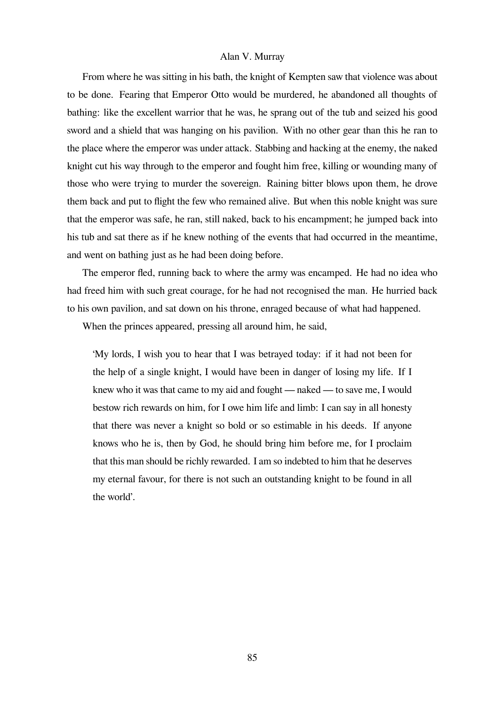From where he was sitting in his bath, the knight of Kempten saw that violence was about to be done. Fearing that Emperor Otto would be murdered, he abandoned all thoughts of bathing: like the excellent warrior that he was, he sprang out of the tub and seized his good sword and a shield that was hanging on his pavilion. With no other gear than this he ran to the place where the emperor was under attack. Stabbing and hacking at the enemy, the naked knight cut his way through to the emperor and fought him free, killing or wounding many of those who were trying to murder the sovereign. Raining bitter blows upon them, he drove them back and put to flight the few who remained alive. But when this noble knight was sure that the emperor was safe, he ran, still naked, back to his encampment; he jumped back into his tub and sat there as if he knew nothing of the events that had occurred in the meantime, and went on bathing just as he had been doing before.

The emperor fled, running back to where the army was encamped. He had no idea who had freed him with such great courage, for he had not recognised the man. He hurried back to his own pavilion, and sat down on his throne, enraged because of what had happened.

When the princes appeared, pressing all around him, he said,

'My lords, I wish you to hear that I was betrayed today: if it had not been for the help of a single knight, I would have been in danger of losing my life. If I knew who it was that came to my aid and fought — naked — to save me, I would bestow rich rewards on him, for I owe him life and limb: I can say in all honesty that there was never a knight so bold or so estimable in his deeds. If anyone knows who he is, then by God, he should bring him before me, for I proclaim that this man should be richly rewarded. I am so indebted to him that he deserves my eternal favour, for there is not such an outstanding knight to be found in all the world'.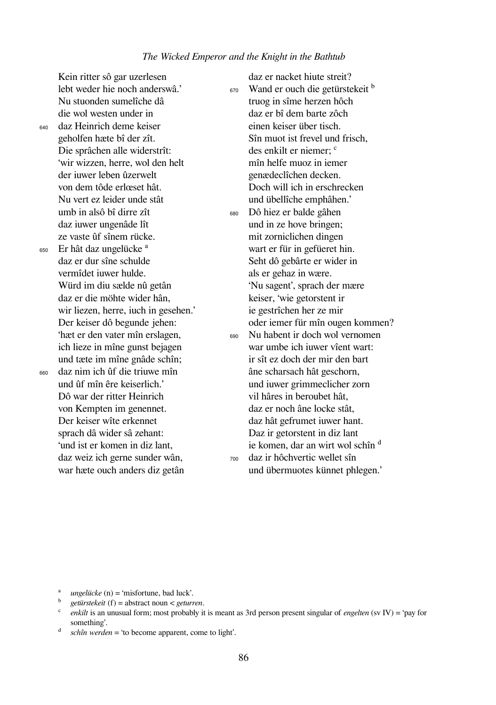Kein ritter sô gar uzerlesen lebt weder hie noch anderswâ.' Nu stuonden sumelîche dâ die wol westen under in <sup>640</sup> daz Heinrich deme keiser geholfen hæte bî der zît. Die sprâchen alle widerstrît: 'wir wizzen, herre, wol den helt der iuwer leben ûzerwelt von dem tôde erlœset hât. Nu vert ez leider unde stât umb in alsô bî dirre zît daz iuwer ungenâde lît ze vaste ûf sînem rücke.  $_{650}$  Er hât daz ungelücke $^a$ 

daz er dur sîne schulde vermîdet iuwer hulde. Würd im diu sælde nû getân daz er die möhte wider hân, wir liezen, herre, iuch in gesehen.' Der keiser dô begunde jehen: 'hæt er den vater mîn erslagen, ich lieze in mîne gunst bejagen und tæte im mîne gnâde schîn; <sup>660</sup> daz nim ich ûf die triuwe mîn

> und ûf mîn êre keiserlich.' Dô war der ritter Heinrich von Kempten im genennet. Der keiser wîte erkennet sprach dâ wider sâ zehant: 'und ist er komen in diz lant, daz weiz ich gerne sunder wân, war hæte ouch anders diz getân

truog in sîme herzen hôch daz er bî dem barte zôch einen keiser über tisch. Sîn muot ist frevel und frisch, des enkilt er niemer; <sup>c</sup> mîn helfe muoz in iemer genædeclîchen decken. Doch will ich in erschrecken und übellîche emphâhen.' <sup>680</sup> Dô hiez er balde gâhen und in ze hove bringen; mit zorniclichen dingen wart er für in gefüeret hin. Seht dô gebârte er wider in als er gehaz in wære. 'Nu sagent', sprach der mære keiser, 'wie getorstent ir ie gestrîchen her ze mir oder iemer für mîn ougen kommen? <sup>690</sup> Nu habent ir doch wol vernomen war umbe ich iuwer vîent wart: ir sît ez doch der mir den bart âne scharsach hât geschorn, und iuwer grimmeclicher zorn vil hâres in beroubet hât, daz er noch âne locke stât, daz hât gefrumet iuwer hant. Daz ir getorstent in diz lant ie komen, dar an wirt wol schîn <sup>d</sup> <sup>700</sup> daz ir hôchvertic wellet sîn und übermuotes künnet phlegen.'

daz er nacket hiute streit? 670 Wand er ouch die getürstekeit <sup>b</sup>

- $^a$  *ungelücke* (n) = 'misfortune, bad luck'.
- ᵇ *getürstekeit* (f) = abstract noun < *geturren*.
- ᶜ *enkilt* is an unusual form; most probably it is meant as 3rd person present singular of *engelten* (sv IV) = 'pay for something'.
- $d$  *schîn werden* = 'to become apparent, come to light'.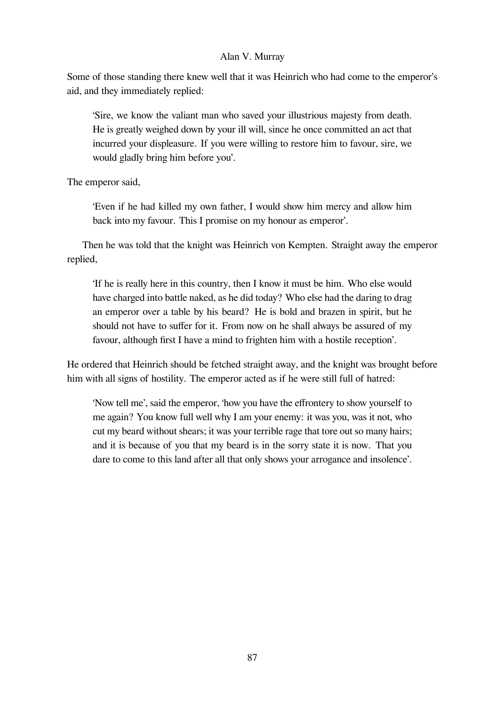Some of those standing there knew well that it was Heinrich who had come to the emperor's aid, and they immediately replied:

'Sire, we know the valiant man who saved your illustrious majesty from death. He is greatly weighed down by your ill will, since he once committed an act that incurred your displeasure. If you were willing to restore him to favour, sire, we would gladly bring him before you'.

The emperor said,

'Even if he had killed my own father, I would show him mercy and allow him back into my favour. This I promise on my honour as emperor'.

Then he was told that the knight was Heinrich von Kempten. Straight away the emperor replied,

'If he is really here in this country, then I know it must be him. Who else would have charged into battle naked, as he did today? Who else had the daring to drag an emperor over a table by his beard? He is bold and brazen in spirit, but he should not have to suffer for it. From now on he shall always be assured of my favour, although first I have a mind to frighten him with a hostile reception'.

He ordered that Heinrich should be fetched straight away, and the knight was brought before him with all signs of hostility. The emperor acted as if he were still full of hatred:

'Now tell me', said the emperor, 'how you have the effrontery to show yourself to me again? You know full well why I am your enemy: it was you, was it not, who cut my beard without shears; it was your terrible rage that tore out so many hairs; and it is because of you that my beard is in the sorry state it is now. That you dare to come to this land after all that only shows your arrogance and insolence'.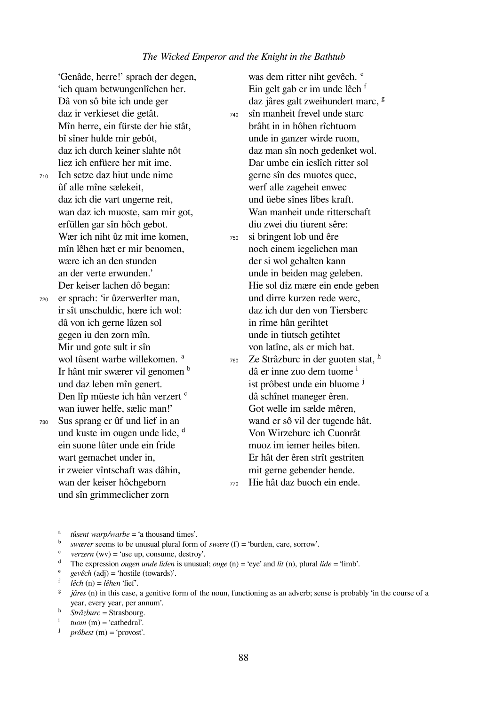'Genâde, herre!' sprach der degen, 'ich quam betwungenlîchen her. Dâ von sô bite ich unde ger daz ir verkieset die getât. Mîn herre, ein fürste der hie stât, bî sîner hulde mir gebôt, daz ich durch keiner slahte nôt liez ich enfüere her mit ime.

<sup>710</sup> Ich setze daz hiut unde nime ûf alle mîne sælekeit, daz ich die vart ungerne reit, wan daz ich muoste, sam mir got, erfüllen gar sîn hôch gebot. Wær ich niht ûz mit ime komen, mîn lêhen hæt er mir benomen, wære ich an den stunden an der verte erwunden.' Der keiser lachen dô began:

<sup>720</sup> er sprach: 'ir ûzerwerlter man, ir sît unschuldic, hœre ich wol: dâ von ich gerne lâzen sol gegen iu den zorn mîn. Mir und gote sult ir sîn wol tûsent warbe willekomen.<sup>a</sup> Ir hânt mir swærer vil genomen <sup>b</sup> und daz leben mîn genert. Den lîp müeste ich hân verzert <sup>c</sup> wan iuwer helfe, sælic man!'

<sup>730</sup> Sus sprang er ûf und lief in an und kuste im ougen unde lide, <sup>d</sup> ein suone lûter unde ein fride wart gemachet under in, ir zweier vîntschaft was dâhin, wan der keiser hôchgeborn und sîn grimmeclicher zorn

was dem ritter niht gevêch. <sup>e</sup> Ein gelt gab er im unde lêch f daz jâres galt zweihundert marc, <sup>g</sup> <sup>740</sup> sîn manheit frevel unde starc brâht in in hôhen rîchtuom unde in ganzer wirde ruom, daz man sîn noch gedenket wol. Dar umbe ein ieslîch ritter sol gerne sîn des muotes quec, werf alle zageheit enwec und üebe sînes lîbes kraft. Wan manheit unde ritterschaft diu zwei diu tiurent sêre: <sup>750</sup> si bringent lob und êre noch einem iegelichen man der si wol gehalten kann unde in beiden mag geleben. Hie sol diz mære ein ende geben und dirre kurzen rede werc, daz ich dur den von Tiersberc in rîme hân gerihtet unde in tiutsch getihtet von latîne, als er mich bat.  $760$  Ze Strâzburc in der guoten stat,  $^h$ dâ er inne zuo dem tuome <sup>i</sup>

ist prôbest unde ein bluome <sup>j</sup> dâ schînet maneger êren. Got welle im sælde mêren, wand er sô vil der tugende hât. Von Wirzeburc ich Cuonrât muoz im iemer heiles biten. Er hât der êren strît gestriten mit gerne gebender hende. <sup>770</sup> Hie hât daz buoch ein ende.

<sup>e</sup> *gevêch* (adj) = 'hostile (towards)'.

- <sup>g</sup> *jâres* (n) in this case, a genitive form of the noun, functioning as an adverb; sense is probably 'in the course of a year, every year, per annum'.
- $\lim_{h} \frac{S_{\text{max}}}{S_{\text{tr}2\text{bur}}}$  = Strasbourg.
- $\frac{1}{\pi}$  *tuom* (m) = 'cathedral'.
- *(m) = 'provost'.*

<sup>&</sup>lt;sup>a</sup> *tûsent warp/warbe* = 'a thousand times'.

<sup>&</sup>lt;sup>b</sup> *swærer* seems to be unusual plural form of *swære* (f) = 'burden, care, sorrow'.

 $\text{*verzern* (wv) = 'use up, consume, destroy'.}$ 

<sup>&</sup>lt;sup>d</sup> The expression *ougen unde liden* is unusual; *ouge* (n) = 'eye' and *lit* (n), plural *lide* = 'limb'.

ᶠ *lêch* (n) = *lêhen* 'fief'.